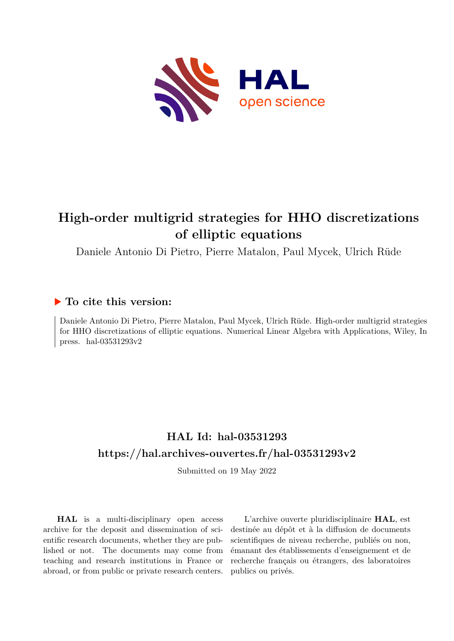

# **High-order multigrid strategies for HHO discretizations of elliptic equations**

Daniele Antonio Di Pietro, Pierre Matalon, Paul Mycek, Ulrich Rüde

# **To cite this version:**

Daniele Antonio Di Pietro, Pierre Matalon, Paul Mycek, Ulrich Rüde. High-order multigrid strategies for HHO discretizations of elliptic equations. Numerical Linear Algebra with Applications, Wiley, In press. hal- $03531293v2$ 

# **HAL Id: hal-03531293 <https://hal.archives-ouvertes.fr/hal-03531293v2>**

Submitted on 19 May 2022

**HAL** is a multi-disciplinary open access archive for the deposit and dissemination of scientific research documents, whether they are published or not. The documents may come from teaching and research institutions in France or abroad, or from public or private research centers.

L'archive ouverte pluridisciplinaire **HAL**, est destinée au dépôt et à la diffusion de documents scientifiques de niveau recherche, publiés ou non, émanant des établissements d'enseignement et de recherche français ou étrangers, des laboratoires publics ou privés.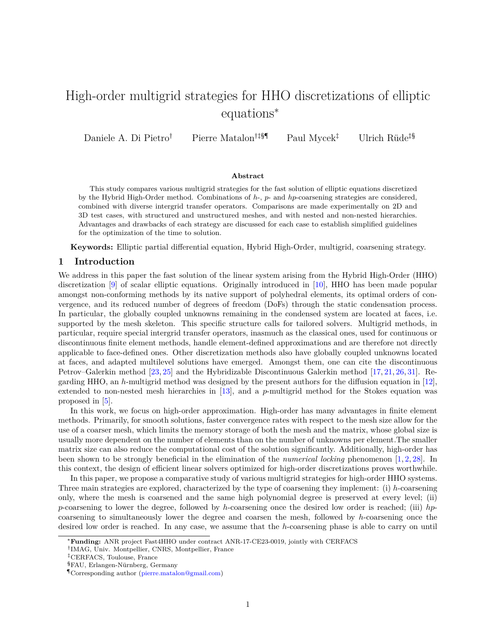# High-order multigrid strategies for HHO discretizations of elliptic equations<sup>∗</sup>

Daniele A. Di Pietro† Pierre Matalon†‡§¶ Paul Mycek‡ Ulrich Rüde‡§

# **Abstract**

This study compares various multigrid strategies for the fast solution of elliptic equations discretized by the Hybrid High-Order method. Combinations of *h*-, *p*- and *hp*-coarsening strategies are considered, combined with diverse intergrid transfer operators. Comparisons are made experimentally on 2D and 3D test cases, with structured and unstructured meshes, and with nested and non-nested hierarchies. Advantages and drawbacks of each strategy are discussed for each case to establish simplified guidelines for the optimization of the time to solution.

**Keywords:** Elliptic partial differential equation, Hybrid High-Order, multigrid, coarsening strategy.

# **1 Introduction**

We address in this paper the fast solution of the linear system arising from the Hybrid High-Order (HHO) discretization [9] of scalar elliptic equations. Originally introduced in [10], HHO has been made popular amongst non-conforming methods by its native support of polyhedral elements, its optimal orders of convergence, and its reduced number of degrees of freedom (DoFs) through the static condensation process. In particular, the globally coupled unknowns remaining in the condensed system are located at faces, i.e. supported by the mesh skeleton. This specific structure calls for tailored solvers. Multigrid methods, in particular, require special intergrid transfer operators, inasmuch as the classical ones, used for continuous or discontinuous finite element methods, handle element-defined approximations and are therefore not directly applicable to face-defined ones. Other discretization methods also have globally coupled unknowns located at faces, and adapted multilevel solutions have emerged. Amongst them, one can cite the discontinuous Petrov–Galerkin method [23, 25] and the Hybridizable Discontinuous Galerkin method [17, 21, 26, 31]. Regarding HHO, an *h*-multigrid method was designed by the present authors for the diffusion equation in [12], extended to non-nested mesh hierarchies in [13], and a *p*-multigrid method for the Stokes equation was proposed in [5].

In this work, we focus on high-order approximation. High-order has many advantages in finite element methods. Primarily, for smooth solutions, faster convergence rates with respect to the mesh size allow for the use of a coarser mesh, which limits the memory storage of both the mesh and the matrix, whose global size is usually more dependent on the number of elements than on the number of unknowns per element.The smaller matrix size can also reduce the computational cost of the solution significantly. Additionally, high-order has been shown to be strongly beneficial in the elimination of the *numerical locking* phenomenon [1, 2, 28]. In this context, the design of efficient linear solvers optimized for high-order discretizations proves worthwhile.

In this paper, we propose a comparative study of various multigrid strategies for high-order HHO systems. Three main strategies are explored, characterized by the type of coarsening they implement: (i) *h*-coarsening only, where the mesh is coarsened and the same high polynomial degree is preserved at every level; (ii) *p*-coarsening to lower the degree, followed by *h*-coarsening once the desired low order is reached; (iii) *hp*coarsening to simultaneously lower the degree and coarsen the mesh, followed by *h*-coarsening once the desired low order is reached. In any case, we assume that the *h*-coarsening phase is able to carry on until

<sup>∗</sup>**Funding:** ANR project Fast4HHO under contract ANR-17-CE23-0019, jointly with CERFACS

<sup>†</sup> IMAG, Univ. Montpellier, CNRS, Montpellier, France

<sup>‡</sup>CERFACS, Toulouse, France

<sup>§</sup>FAU, Erlangen-Nürnberg, Germany

<sup>¶</sup>Corresponding author [\(pierre.matalon@gmail.com\)](mailto:pierre.matalon@gmail.com)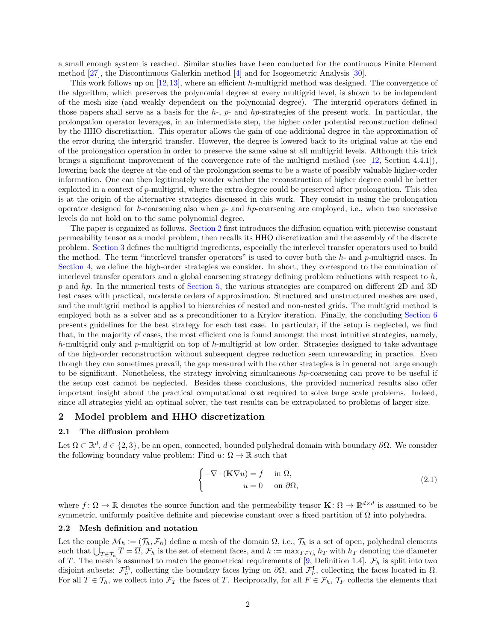a small enough system is reached. Similar studies have been conducted for the continuous Finite Element method [27], the Discontinuous Galerkin method [4] and for Isogeometric Analysis [30].

This work follows up on [12,13], where an efficient *h*-multigrid method was designed. The convergence of the algorithm, which preserves the polynomial degree at every multigrid level, is shown to be independent of the mesh size (and weakly dependent on the polynomial degree). The intergrid operators defined in those papers shall serve as a basis for the *h*-, *p*- and *hp*-strategies of the present work. In particular, the prolongation operator leverages, in an intermediate step, the higher order potential reconstruction defined by the HHO discretization. This operator allows the gain of one additional degree in the approximation of the error during the intergrid transfer. However, the degree is lowered back to its original value at the end of the prolongation operation in order to preserve the same value at all multigrid levels. Although this trick brings a significant improvement of the convergence rate of the multigrid method (see [12, Section 4.4.1]), lowering back the degree at the end of the prolongation seems to be a waste of possibly valuable higher-order information. One can then legitimately wonder whether the reconstruction of higher degree could be better exploited in a context of *p*-multigrid, where the extra degree could be preserved after prolongation. This idea is at the origin of the alternative strategies discussed in this work. They consist in using the prolongation operator designed for *h*-coarsening also when *p*- and *hp*-coarsening are employed, i.e., when two successive levels do not hold on to the same polynomial degree.

The paper is organized as follows. Section 2 first introduces the diffusion equation with piecewise constant permeability tensor as a model problem, then recalls its HHO discretization and the assembly of the discrete problem. Section 3 defines the multigrid ingredients, especially the interlevel transfer operators used to build the method. The term "interlevel transfer operators" is used to cover both the *h*- and *p*-multigrid cases. In Section 4, we define the high-order strategies we consider. In short, they correspond to the combination of interlevel transfer operators and a global coarsening strategy defining problem reductions with respect to *h*, *p* and *hp*. In the numerical tests of Section 5, the various strategies are compared on different 2D and 3D test cases with practical, moderate orders of approximation. Structured and unstructured meshes are used, and the multigrid method is applied to hierarchies of nested and non-nested grids. The multigrid method is employed both as a solver and as a preconditioner to a Krylov iteration. Finally, the concluding Section 6 presents guidelines for the best strategy for each test case. In particular, if the setup is neglected, we find that, in the majority of cases, the most efficient one is found amongst the most intuitive strategies, namely, *h*-multigrid only and *p*-multigrid on top of *h*-multigrid at low order. Strategies designed to take advantage of the high-order reconstruction without subsequent degree reduction seem unrewarding in practice. Even though they can sometimes prevail, the gap measured with the other strategies is in general not large enough to be significant. Nonetheless, the strategy involving simultaneous *hp*-coarsening can prove to be useful if the setup cost cannot be neglected. Besides these conclusions, the provided numerical results also offer important insight about the practical computational cost required to solve large scale problems. Indeed, since all strategies yield an optimal solver, the test results can be extrapolated to problems of larger size.

#### **2 Model problem and HHO discretization**

#### **2.1 The diffusion problem**

Let  $\Omega \subset \mathbb{R}^d$ ,  $d \in \{2,3\}$ , be an open, connected, bounded polyhedral domain with boundary  $\partial\Omega$ . We consider the following boundary value problem: Find  $u: \Omega \to \mathbb{R}$  such that

$$
\begin{cases}\n-\nabla \cdot (\mathbf{K} \nabla u) = f & \text{in } \Omega, \\
u = 0 & \text{on } \partial \Omega,\n\end{cases}
$$
\n(2.1)

where  $f: \Omega \to \mathbb{R}$  denotes the source function and the permeability tensor  $\mathbf{K}: \Omega \to \mathbb{R}^{d \times d}$  is assumed to be symmetric, uniformly positive definite and piecewise constant over a fixed partition of  $\Omega$  into polyhedra.

#### **2.2 Mesh definition and notation**

Let the couple  $\mathcal{M}_h := (\mathcal{T}_h, \mathcal{F}_h)$  define a mesh of the domain  $\Omega$ , i.e.,  $\mathcal{T}_h$  is a set of open, polyhedral elements such that  $\bigcup_{T \in \mathcal{T}_h} \overline{T} = \overline{\Omega}, \mathcal{F}_h$  is the set of element faces, and  $h := \max_{T \in \mathcal{T}_h} h_T$  with  $h_T$  denoting the diameter of *T*. The mesh is assumed to match the geometrical requirements of [9, Definition 1.4].  $\mathcal{F}_h$  is split into two disjoint subsets:  $\mathcal{F}_h^{\text{B}}$ , collecting the boundary faces lying on  $\partial\Omega$ , and  $\mathcal{F}_h^{\text{I}}$ , collecting the faces located in  $\Omega$ . For all  $T \in \mathcal{T}_h$ , we collect into  $\mathcal{F}_T$  the faces of *T*. Reciprocally, for all  $F \in \mathcal{F}_h$ ,  $\mathcal{T}_F$  collects the elements that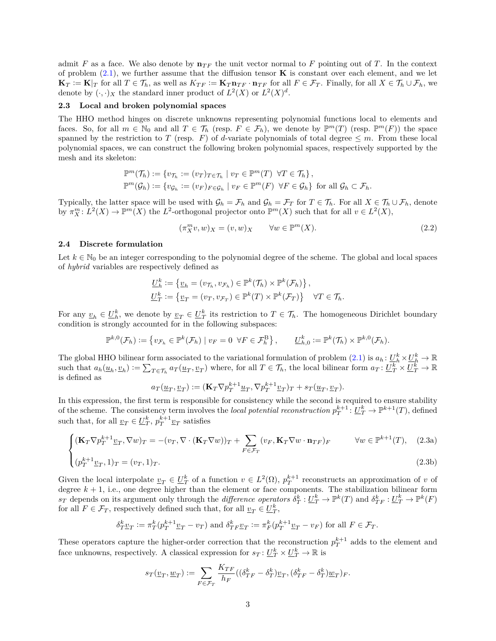admit *F* as a face. We also denote by  $\mathbf{n}_{TF}$  the unit vector normal to *F* pointing out of *T*. In the context of problem  $(2.1)$ , we further assume that the diffusion tensor **K** is constant over each element, and we let  $\mathbf{K}_T := \mathbf{K}|_T$  for all  $T \in \mathcal{T}_h$ , as well as  $K_{TF} := \mathbf{K}_T \mathbf{n}_{TF} \cdot \mathbf{n}_{TF}$  for all  $F \in \mathcal{F}_T$ . Finally, for all  $X \in \mathcal{T}_h \cup \mathcal{F}_h$ , we denote by  $(\cdot, \cdot)_X$  the standard inner product of  $L^2(X)$  or  $L^2(X)^d$ .

# **2.3 Local and broken polynomial spaces**

The HHO method hinges on discrete unknowns representing polynomial functions local to elements and faces. So, for all  $m \in \mathbb{N}_0$  and all  $T \in \mathcal{T}_h$  (resp.  $F \in \mathcal{F}_h$ ), we denote by  $\mathbb{P}^m(T)$  (resp.  $\mathbb{P}^m(F)$ ) the space spanned by the restriction to *T* (resp. *F*) of *d*-variate polynomials of total degree  $\leq m$ . From these local polynomial spaces, we can construct the following broken polynomial spaces, respectively supported by the mesh and its skeleton:

$$
\mathbb{P}^m(\mathcal{T}_h) := \{ v_{\mathcal{T}_h} := (v_T)_{T \in \mathcal{T}_h} \mid v_T \in \mathbb{P}^m(T) \ \forall T \in \mathcal{T}_h \},
$$
  

$$
\mathbb{P}^m(\mathcal{G}_h) := \{ v_{\mathcal{G}_h} := (v_F)_{F \in \mathcal{G}_h} \mid v_F \in \mathbb{P}^m(F) \ \forall F \in \mathcal{G}_h \}
$$
 for all  $\mathcal{G}_h \subset \mathcal{F}_h$ .

Typically, the latter space will be used with  $\mathcal{G}_h = \mathcal{F}_h$  and  $\mathcal{G}_h = \mathcal{F}_T$  for  $T \in \mathcal{T}_h$ . For all  $X \in \mathcal{T}_h \cup \mathcal{F}_h$ , denote by  $\pi_X^m: L^2(X) \to \mathbb{P}^m(X)$  the *L*<sup>2</sup>-orthogonal projector onto  $\mathbb{P}^m(X)$  such that for all  $v \in L^2(X)$ ,

$$
(\pi_X^m v, w)_X = (v, w)_X \qquad \forall w \in \mathbb{P}^m(X). \tag{2.2}
$$

### **2.4 Discrete formulation**

Let  $k \in \mathbb{N}_0$  be an integer corresponding to the polynomial degree of the scheme. The global and local spaces of *hybrid* variables are respectively defined as

$$
\underline{U}_h^k := \{ \underline{v}_h = (v_{\mathcal{T}_h}, v_{\mathcal{F}_h}) \in \mathbb{P}^k(\mathcal{T}_h) \times \mathbb{P}^k(\mathcal{F}_h) \},
$$
  

$$
\underline{U}_T^k := \{ \underline{v}_T = (v_T, v_{\mathcal{F}_T}) \in \mathbb{P}^k(T) \times \mathbb{P}^k(\mathcal{F}_T) \} \quad \forall T \in \mathcal{T}_h.
$$

For any  $v_h \in U_h^k$ , we denote by  $v_T \in U_T^k$  its restriction to  $T \in \mathcal{T}_h$ . The homogeneous Dirichlet boundary condition is strongly accounted for in the following subspaces:

$$
\mathbb{P}^{k,0}(\mathcal{F}_h) := \left\{ v_{\mathcal{F}_h} \in \mathbb{P}^k(\mathcal{F}_h) \mid v_F = 0 \ \forall F \in \mathcal{F}_h^{\mathrm{B}} \right\}, \qquad \underline{U}_{h,0}^k := \mathbb{P}^k(\mathcal{T}_h) \times \mathbb{P}^{k,0}(\mathcal{F}_h).
$$

The global HHO bilinear form associated to the variational formulation of problem  $(2.1)$  is  $a_h: U_h^k \times U_h^k \to \mathbb{R}$ such that  $a_h(\underline{u}_h, \underline{v}_h) := \sum_{T \in \mathcal{T}_h} a_T(\underline{u}_T, \underline{v}_T)$  where, for all  $T \in \mathcal{T}_h$ , the local bilinear form  $a_T: \underline{U}_T^k \times \underline{U}_T^k \to \mathbb{R}$ is defined as

$$
a_T(\underline{u}_T, \underline{v}_T) := (\mathbf{K}_T \nabla p_T^{k+1} \underline{u}_T, \nabla p_T^{k+1} \underline{v}_T)_T + s_T(\underline{u}_T, \underline{v}_T).
$$

In this expression, the first term is responsible for consistency while the second is required to ensure stability of the scheme. The consistency term involves the *local potential reconstruction*  $p_T^{k+1}$ :  $\underline{U}_T^k \to \mathbb{P}^{k+1}(T)$ , defined such that, for all  $\underline{v}_T \in \underline{U}_T^k$ ,  $p_T^{k+1} \underline{v}_T$  satisfies

$$
\begin{cases}\n(\mathbf{K}_T \nabla p_T^{k+1} \underline{v}_T, \nabla w)_T = -(v_T, \nabla \cdot (\mathbf{K}_T \nabla w))_T + \sum_{F \in \mathcal{F}_T} (v_F, \mathbf{K}_T \nabla w \cdot \mathbf{n}_{TF})_F & \forall w \in \mathbb{P}^{k+1}(T), \quad (2.3a) \\
\sum_{(x^{k+1} \cdot \mathbf{K}_T \cdot \mathbf{n}_T) = -(v_T, 1) - (v_T, 1) - (v_T, 1) - (v_T, 1) - (v_T, 1) - (v_T, 1) - (v_T, 1) - (v_T, 1) - (v_T, 1) - (v_T, 1) - (v_T, 1) - (v_T, 1) - (v_T, 1) - (v_T, 1) - (v_T, 1) - (v_T, 1) - (v_T, 1) - (v_T, 1) - (v_T, 1) - (v_T, 1) - (v_T, 1) - (v_T, 1) - (v_T, 1) - (v_T, 1) - (v_T, 1) - (v_T, 1) - (v_T, 1) - (v_T, 1) - (v_T, 1) - (v_T, 1) - (v_T, 1) - (v_T, 1) - (v_T, 1) - (v_T, 1) - (v_T, 1) - (v_T, 1) - (v_T, 1) - (v_T, 1) - (v_T, 1) - (v_T, 1) - (v_T, 1) - (v_T, 1) - (v_T, 1) - (v_T, 1) - (v_T, 1) - (v_T, 1) - (v_T, 1) - (v_T, 1) - (v_T, 1) - (v_T, 1) - (v_T, 1) - (v_T, 1) - (v_T, 1) - (v_T, 1) - (v_T, 1) - (v_T, 1) - (v_T, 1) - (v_T, 1) - (v_T, 1) - (v_T, 1) - (v_T, 1) - (v_T, 1) - (v_T, 1) - (v_T, 1) - (v_T, 1) - (v_T, 1) - (v_T, 1) - (v_T, 1) - (v_T, 1) - (v_T, 1) - (v_T, 1) - (v_T, 1) - (v_T, 1) - (v_T, 1) - (v_T,
$$

$$
(p_T^{k+1} \underline{v}_T, 1)_T = (v_T, 1)_T. \tag{2.3b}
$$

Given the local interpolate  $v_T \in \underline{U}_T^k$  of a function  $v \in L^2(\Omega)$ ,  $p_T^{k+1}$  reconstructs an approximation of *v* of degree  $k + 1$ , i.e., one degree higher than the element or face components. The stabilization bilinear form  $s_T$  depends on its argument only through the *difference operators*  $\delta_T^k: \underline{U}_T^k \to \mathbb{P}^k(T)$  and  $\delta_{TF}^k: \underline{U}_T^k \to \mathbb{P}^k(F)$ for all  $F \in \mathcal{F}_T$ , respectively defined such that, for all  $\underline{v}_T \in \underline{U}_T^k$ ,

$$
\delta^k_T \underline{v}_T := \pi^k_T (p^{k+1}_T \underline{v}_T - v_T) \text{ and } \delta^k_{TF} \underline{v}_T := \pi^k_F (p^{k+1}_T \underline{v}_T - v_F) \text{ for all } F \in \mathcal{F}_T.
$$

These operators capture the higher-order correction that the reconstruction  $p_T^{k+1}$  adds to the element and face unknowns, respectively. A classical expression for  $s_T: U_T^k \times U_T^k \to \mathbb{R}$  is

$$
s_T(\underline{v}_T, \underline{w}_T) := \sum_{F \in \mathcal{F}_T} \frac{K_{TF}}{h_F} \left( (\delta_{TF}^k - \delta_T^k) \underline{v}_T, (\delta_{TF}^k - \delta_T^k) \underline{w}_T \right)_F.
$$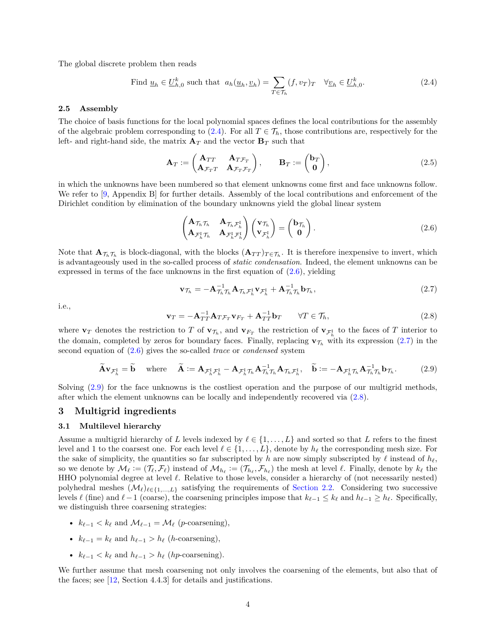The global discrete problem then reads

Find 
$$
\underline{u}_h \in \underline{U}_{h,0}^k
$$
 such that  $a_h(\underline{u}_h, \underline{v}_h) = \sum_{T \in \mathcal{T}_h} (f, v_T)_T \quad \forall \underline{v}_h \in \underline{U}_{h,0}^k.$  (2.4)

#### **2.5 Assembly**

The choice of basis functions for the local polynomial spaces defines the local contributions for the assembly of the algebraic problem corresponding to (2.4). For all  $T \in \mathcal{T}_h$ , those contributions are, respectively for the left- and right-hand side, the matrix  $A_T$  and the vector  $B_T$  such that

$$
\mathbf{A}_T := \begin{pmatrix} \mathbf{A}_{TT} & \mathbf{A}_{T\mathcal{F}_T} \\ \mathbf{A}_{\mathcal{F}_T T} & \mathbf{A}_{\mathcal{F}_T \mathcal{F}_T} \end{pmatrix}, \qquad \mathbf{B}_T := \begin{pmatrix} \mathbf{b}_T \\ \mathbf{0} \end{pmatrix}, \tag{2.5}
$$

in which the unknowns have been numbered so that element unknowns come first and face unknowns follow. We refer to [9, Appendix B] for further details. Assembly of the local contributions and enforcement of the Dirichlet condition by elimination of the boundary unknowns yield the global linear system

$$
\begin{pmatrix}\n\mathbf{A}_{\mathcal{T}_h} \mathcal{T}_h & \mathbf{A}_{\mathcal{T}_h} \mathcal{T}_h^{\mathrm{I}} \\
\mathbf{A}_{\mathcal{F}_h^{\mathrm{I}}} \mathcal{T}_h & \mathbf{A}_{\mathcal{F}_h^{\mathrm{I}}} \mathcal{T}_h^{\mathrm{I}}\n\end{pmatrix}\n\begin{pmatrix}\n\mathbf{v}_{\mathcal{T}_h} \\
\mathbf{v}_{\mathcal{F}_h^{\mathrm{I}}}\n\end{pmatrix} =\n\begin{pmatrix}\n\mathbf{b}_{\mathcal{T}_h} \\
\mathbf{0}\n\end{pmatrix}.
$$
\n(2.6)

Note that  $\mathbf{A}_{\mathcal{T}_h}\mathcal{T}_h$  is block-diagonal, with the blocks  $(\mathbf{A}_{TT})_{T\in\mathcal{T}_h}$ . It is therefore inexpensive to invert, which is advantageously used in the so-called process of *static condensation*. Indeed, the element unknowns can be expressed in terms of the face unknowns in the first equation of  $(2.6)$ , yielding

$$
\mathbf{v}_{\mathcal{T}_h} = -\mathbf{A}_{\mathcal{T}_h}^{-1} \mathbf{A}_{\mathcal{T}_h \mathcal{F}_h^{\mathrm{I}}} \mathbf{v}_{\mathcal{F}_h^{\mathrm{I}}} + \mathbf{A}_{\mathcal{T}_h \mathcal{T}_h}^{-1} \mathbf{b}_{\mathcal{T}_h},\tag{2.7}
$$

i.e.,

$$
\mathbf{v}_T = -\mathbf{A}_{TT}^{-1} \mathbf{A}_{T\mathcal{F}_T} \mathbf{v}_{F_T} + \mathbf{A}_{TT}^{-1} \mathbf{b}_T \qquad \forall T \in \mathcal{T}_h,
$$
\n(2.8)

where  $\mathbf{v}_T$  denotes the restriction to *T* of  $\mathbf{v}_{\mathcal{T}_h}$ , and  $\mathbf{v}_{F_T}$  the restriction of  $\mathbf{v}_{\mathcal{F}_h^{\text{I}}}$  to the faces of *T* interior to the domain, completed by zeros for boundary faces. Finally, replacing  $\mathbf{v}_{\mathcal{T}_h}$  with its expression (2.7) in the second equation of (2.6) gives the so-called *trace* or *condensed* system

$$
\widetilde{\mathbf{A}}\mathbf{v}_{\mathcal{F}_h^I} = \widetilde{\mathbf{b}} \quad \text{where} \quad \widetilde{\mathbf{A}} := \mathbf{A}_{\mathcal{F}_h^I \mathcal{F}_h^I} - \mathbf{A}_{\mathcal{F}_h^I \mathcal{T}_h} \mathbf{A}_{\mathcal{T}_h \mathcal{T}_h}^{-1} \mathbf{A}_{\mathcal{T}_h \mathcal{F}_h^I}, \quad \widetilde{\mathbf{b}} := -\mathbf{A}_{\mathcal{F}_h^I \mathcal{T}_h} \mathbf{A}_{\mathcal{T}_h \mathcal{T}_h}^{-1} \mathbf{b}_{\mathcal{T}_h}. \tag{2.9}
$$

Solving (2.9) for the face unknowns is the costliest operation and the purpose of our multigrid methods, after which the element unknowns can be locally and independently recovered via (2.8).

### **3 Multigrid ingredients**

### **3.1 Multilevel hierarchy**

Assume a multigrid hierarchy of *L* levels indexed by  $\ell \in \{1, \ldots, L\}$  and sorted so that *L* refers to the finest level and 1 to the coarsest one. For each level  $\ell \in \{1, \ldots, L\}$ , denote by  $h_{\ell}$  the corresponding mesh size. For the sake of simplicity, the quantities so far subscripted by *h* are now simply subscripted by  $\ell$  instead of  $h_{\ell}$ , so we denote by  $\mathcal{M}_\ell := (\mathcal{T}_\ell, \mathcal{F}_\ell)$  instead of  $\mathcal{M}_{h_\ell} := (\mathcal{T}_{h_\ell}, \mathcal{F}_{h_\ell})$  the mesh at level  $\ell$ . Finally, denote by  $k_\ell$  the HHO polynomial degree at level  $\ell$ . Relative to those levels, consider a hierarchy of (not necessarily nested) polyhedral meshes  $(\mathcal{M}_{\ell})_{\ell \in \{1,\ldots,L\}}$  satisfying the requirements of Section 2.2. Considering two successive levels  $\ell$  (fine) and  $\ell-1$  (coarse), the coarsening principles impose that  $k_{\ell-1} \leq k_{\ell}$  and  $h_{\ell-1} \geq h_{\ell}$ . Specifically, we distinguish three coarsening strategies:

- $k_{\ell-1} < k_{\ell}$  and  $\mathcal{M}_{\ell-1} = \mathcal{M}_{\ell}$  (*p*-coarsening),
- $k_{\ell-1} = k_{\ell}$  and  $h_{\ell-1} > h_{\ell}$  (*h*-coarsening),
- $k_{\ell-1} < k_{\ell}$  and  $h_{\ell-1} > h_{\ell}$  (*hp*-coarsening).

We further assume that mesh coarsening not only involves the coarsening of the elements, but also that of the faces; see [12, Section 4.4.3] for details and justifications.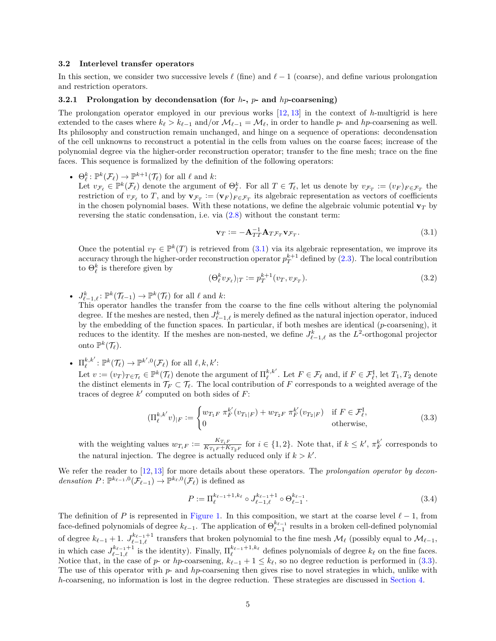#### **3.2 Interlevel transfer operators**

In this section, we consider two successive levels  $\ell$  (fine) and  $\ell - 1$  (coarse), and define various prolongation and restriction operators.

### **3.2.1 Prolongation by decondensation (for** *h***-,** *p***- and** *hp***-coarsening)**

The prolongation operator employed in our previous works [12, 13] in the context of *h*-multigrid is here extended to the cases where  $k_{\ell} > k_{\ell-1}$  and/or  $\mathcal{M}_{\ell-1} = \mathcal{M}_{\ell}$ , in order to handle *p*- and *hp*-coarsening as well. Its philosophy and construction remain unchanged, and hinge on a sequence of operations: decondensation of the cell unknowns to reconstruct a potential in the cells from values on the coarse faces; increase of the polynomial degree via the higher-order reconstruction operator; transfer to the fine mesh; trace on the fine faces. This sequence is formalized by the definition of the following operators:

•  $\Theta_{\ell}^k: \mathbb{P}^k(\mathcal{F}_{\ell}) \to \mathbb{P}^{k+1}(\mathcal{T}_{\ell})$  for all  $\ell$  and  $k$ :

Let  $v_{\mathcal{F}_{\ell}} \in \mathbb{P}^k(\mathcal{F}_{\ell})$  denote the argument of  $\Theta_{\ell}^k$ . For all  $T \in \mathcal{T}_{\ell}$ , let us denote by  $v_{\mathcal{F}_T} := (v_F)_{F \in \mathcal{F}_T}$  the restriction of  $v_{\mathcal{F}_{\ell}}$  to *T*, and by  $\mathbf{v}_{\mathcal{F}_{T}} := (\mathbf{v}_{F})_{F \in \mathcal{F}_{T}}$  its algebraic representation as vectors of coefficients in the chosen polynomial bases. With these notations, we define the algebraic volumic potential  $\mathbf{v}_T$  by reversing the static condensation, i.e. via (2.8) without the constant term:

$$
\mathbf{v}_T := -\mathbf{A}_{TT}^{-1} \mathbf{A}_{T \mathcal{F}_T} \mathbf{v}_{\mathcal{F}_T}.
$$
\n(3.1)

Once the potential  $v_T \in \mathbb{P}^k(T)$  is retrieved from (3.1) via its algebraic representation, we improve its accuracy through the higher-order reconstruction operator  $p_T^{k+1}$  defined by (2.3). The local contribution to  $\Theta_{\ell}^{k}$  is therefore given by

$$
(\Theta^k_\ell v_{\mathcal{F}_\ell})_{|T} := p_T^{k+1}(v_T, v_{\mathcal{F}_T}).
$$
\n(3.2)

•  $J_{\ell-1,\ell}^k \colon \mathbb{P}^k(\mathcal{T}_{\ell-1}) \to \mathbb{P}^k(\mathcal{T}_\ell)$  for all  $\ell$  and  $k$ :

This operator handles the transfer from the coarse to the fine cells without altering the polynomial degree. If the meshes are nested, then  $J_{\ell-1,\ell}^k$  is merely defined as the natural injection operator, induced by the embedding of the function spaces. In particular, if both meshes are identical (*p*-coarsening), it reduces to the identity. If the meshes are non-nested, we define  $J_{\ell-1,\ell}^k$  as the  $L^2$ -orthogonal projector onto  $\mathbb{P}^k(\mathcal{T}_{\ell}).$ 

•  $\Pi_{\ell}^{k,k'} : \mathbb{P}^k(\mathcal{T}_{\ell}) \to \mathbb{P}^{k',0}(\mathcal{F}_{\ell})$  for all  $\ell, k, k'$ :

Let  $v := (v_T)_{T \in \mathcal{T}_\ell} \in \mathbb{P}^k(\mathcal{T}_\ell)$  denote the argument of  $\Pi_\ell^{k,k'}$ . Let  $F \in \mathcal{F}_\ell$  and, if  $F \in \mathcal{F}_\ell^I$ , let  $T_1, T_2$  denote the distinct elements in  $\mathcal{T}_F \subset \mathcal{T}_\ell$ . The local contribution of *F* corresponds to a weighted average of the traces of degree  $k'$  computed on both sides of  $F$ :

$$
(\Pi_{\ell}^{k,k'}v)_{|F} := \begin{cases} w_{T_1F} \ \pi_F^{k'}(v_{T_1|F}) + w_{T_2F} \ \pi_F^{k'}(v_{T_2|F}) & \text{if } F \in \mathcal{F}_{\ell}^{\text{I}}, \\ 0 & \text{otherwise}, \end{cases} \tag{3.3}
$$

with the weighting values  $w_{T_i}F := \frac{K_{T_i}F}{K_{T_i}F + K}$  $\frac{K_{T_i F}}{K_{T_1 F} + K_{T_2 F}}$  for  $i \in \{1, 2\}$ . Note that, if  $k \leq k'$ ,  $\pi_F^{k'}$  corresponds to the natural injection. The degree is actually reduced only if  $k > k'$ .

We refer the reader to [12, 13] for more details about these operators. The *prolongation operator by decon*densation  $P: \mathbb{P}^{k_{\ell-1},0}(\mathcal{F}_{\ell-1}) \to \mathbb{P}^{k_{\ell},0}(\mathcal{F}_{\ell})$  is defined as

$$
P := \Pi_{\ell}^{k_{\ell-1}+1,k_{\ell}} \circ J_{\ell-1,\ell}^{k_{\ell-1}+1} \circ \Theta_{\ell-1}^{k_{\ell-1}}.
$$
\n(3.4)

The definition of *P* is represented in Figure 1. In this composition, we start at the coarse level  $\ell - 1$ , from face-defined polynomials of degree  $k_{\ell-1}$ . The application of  $\Theta_{\ell-1}^{k_{\ell-1}}$  results in a broken cell-defined polynomial *`*−1 of degree  $k_{\ell-1} + 1$ .  $J_{\ell-1,\ell}^{k_{\ell-1}+1}$  transfers that broken polynomial to the fine mesh  $\mathcal{M}_{\ell}$  (possibly equal to  $\mathcal{M}_{\ell-1}$ , in which case  $J_{\ell-1,\ell}^{k_{\ell-1}+1}$  is the identity). Finally,  $\Pi_{\ell}^{k_{\ell-1}+1,k_{\ell}}$  defines polynomials of degree  $k_{\ell}$  on the fine faces. Notice that, in the case of *p*- or *hp*-coarsening,  $k_{\ell-1} + 1 \leq k_{\ell}$ , so no degree reduction is performed in (3.3). The use of this operator with *p*- and *hp*-coarsening then gives rise to novel strategies in which, unlike with *h*-coarsening, no information is lost in the degree reduction. These strategies are discussed in Section 4.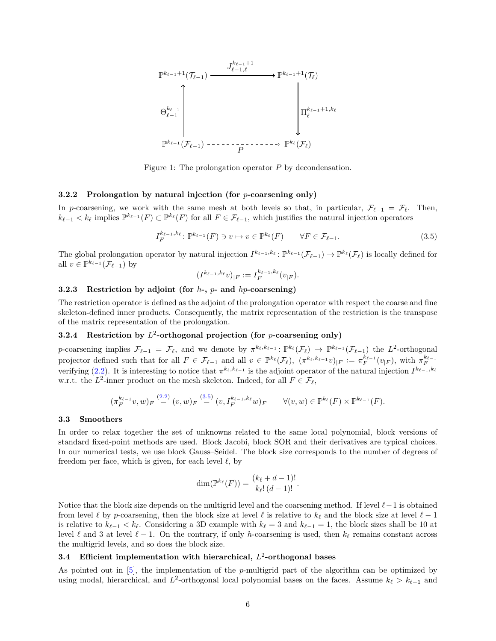

Figure 1: The prolongation operator *P* by decondensation.

#### **3.2.2 Prolongation by natural injection (for** *p***-coarsening only)**

In *p*-coarsening, we work with the same mesh at both levels so that, in particular,  $\mathcal{F}_{\ell-1} = \mathcal{F}_{\ell}$ . Then,  $k_{\ell-1} < k_{\ell}$  implies  $\mathbb{P}^{k_{\ell-1}}(F) \subset \mathbb{P}^{k_{\ell}}(F)$  for all  $F \in \mathcal{F}_{\ell-1}$ , which justifies the natural injection operators

$$
I_F^{k_{\ell-1},k_{\ell}}: \mathbb{P}^{k_{\ell-1}}(F) \ni v \mapsto v \in \mathbb{P}^{k_{\ell}}(F) \qquad \forall F \in \mathcal{F}_{\ell-1}.
$$

The global prolongation operator by natural injection  $I^{k_{\ell-1},k_{\ell}}$ :  $\mathbb{P}^{k_{\ell-1}}(\mathcal{F}_{\ell-1}) \to \mathbb{P}^{k_{\ell}}(\mathcal{F}_{\ell})$  is locally defined for all  $v \in \mathbb{P}^{k_{\ell-1}}(\mathcal{F}_{\ell-1})$  by

$$
(I^{k_{\ell-1},k_{\ell}}v)_{|F} := I_F^{k_{\ell-1},k_{\ell}}(v_{|F}).
$$

## **3.2.3 Restriction by adjoint (for** *h***-,** *p***- and** *hp***-coarsening)**

The restriction operator is defined as the adjoint of the prolongation operator with respect the coarse and fine skeleton-defined inner products. Consequently, the matrix representation of the restriction is the transpose of the matrix representation of the prolongation.

# **3.2.4 Restriction by** *L* 2 **-orthogonal projection (for** *p***-coarsening only)**

*p*-coarsening implies  $\mathcal{F}_{\ell-1} = \mathcal{F}_{\ell}$ , and we denote by  $\pi^{k_{\ell}, k_{\ell-1}} \colon \mathbb{P}^{k_{\ell}}(\mathcal{F}_{\ell}) \to \mathbb{P}^{k_{\ell-1}}(\mathcal{F}_{\ell-1})$  the  $L^2$ -orthogonal projector defined such that for all  $F \in \mathcal{F}_{\ell-1}$  and all  $v \in \mathbb{P}^{k_{\ell}}(\mathcal{F}_{\ell}), \ (\pi^{k_{\ell}, k_{\ell-1}}v)_{|F} := \pi_F^{k_{\ell-1}}(v_{|F}),$  with  $\pi_F^{k_{\ell-1}}$ verifying (2.2). It is interesting to notice that  $\pi^{k_{\ell}, k_{\ell-1}}$  is the adjoint operator of the natural injection  $I^{k_{\ell-1}, k_{\ell}}$ w.r.t. the  $L^2$ -inner product on the mesh skeleton. Indeed, for all  $F \in \mathcal{F}_\ell$ ,

$$
(\pi_F^{k_{\ell-1}}v,w)_F \stackrel{(2.2)}{=} (v,w)_F \stackrel{(3.5)}{=} (v,I_F^{k_{\ell-1},k_{\ell}}w)_F \qquad \forall (v,w) \in \mathbb{P}^{k_{\ell}}(F) \times \mathbb{P}^{k_{\ell-1}}(F).
$$

#### **3.3 Smoothers**

In order to relax together the set of unknowns related to the same local polynomial, block versions of standard fixed-point methods are used. Block Jacobi, block SOR and their derivatives are typical choices. In our numerical tests, we use block Gauss–Seidel. The block size corresponds to the number of degrees of freedom per face, which is given, for each level  $\ell$ , by

$$
\dim(\mathbb{P}^{k_{\ell}}(F)) = \frac{(k_{\ell} + d - 1)!}{k_{\ell}!(d - 1)!}.
$$

Notice that the block size depends on the multigrid level and the coarsening method. If level *`*−1 is obtained from level  $\ell$  by *p*-coarsening, then the block size at level  $\ell$  is relative to  $k_{\ell}$  and the block size at level  $\ell - 1$ is relative to  $k_{\ell-1} < k_{\ell}$ . Considering a 3D example with  $k_{\ell} = 3$  and  $k_{\ell-1} = 1$ , the block sizes shall be 10 at level  $\ell$  and 3 at level  $\ell - 1$ . On the contrary, if only *h*-coarsening is used, then  $k_{\ell}$  remains constant across the multigrid levels, and so does the block size.

# **3.4 Efficient implementation with hierarchical,** *L* 2 **-orthogonal bases**

As pointed out in [5], the implementation of the *p*-multigrid part of the algorithm can be optimized by using modal, hierarchical, and  $L^2$ -orthogonal local polynomial bases on the faces. Assume  $k_{\ell} > k_{\ell-1}$  and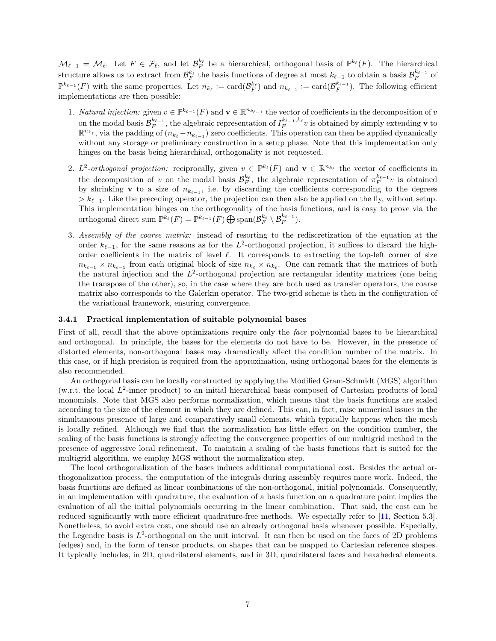$\mathcal{M}_{\ell-1} = \mathcal{M}_{\ell}$ . Let  $F \in \mathcal{F}_{\ell}$ , and let  $\mathcal{B}_F^{k_{\ell}}$  be a hierarchical, orthogonal basis of  $\mathbb{P}^{k_{\ell}}(F)$ . The hierarchical structure allows us to extract from  $\mathcal{B}_F^{k_\ell}$  the basis functions of degree at most  $k_{\ell-1}$  to obtain a basis  $\mathcal{B}_F^{k_{\ell-1}}$  of  $\mathbb{P}^{k_{\ell-1}}(F)$  with the same properties. Let  $n_{k_{\ell}} := \text{card}(\mathcal{B}_F^{k_{\ell}})$  and  $n_{k_{\ell-1}} := \text{card}(\mathcal{B}_F^{k_{\ell-1}})$ . The following efficient implementations are then possible:

- 1. *Natural injection:* given  $v \in \mathbb{P}^{k_{\ell-1}}(F)$  and  $\mathbf{v} \in \mathbb{R}^{n_{k_{\ell-1}}}$  the vector of coefficients in the decomposition of *v* on the modal basis  $\mathcal{B}_F^{k_{\ell-1}}$ , the algebraic representation of  $I_F^{k_{\ell-1},k_{\ell}}v$  is obtained by simply extending **v** to  $\mathbb{R}^{n_{k_\ell}}$ , via the padding of  $(n_{k_\ell}-n_{k_{\ell-1}})$  zero coefficients. This operation can then be applied dynamically without any storage or preliminary construction in a setup phase. Note that this implementation only hinges on the basis being hierarchical, orthogonality is not requested.
- 2.  $L^2$ -orthogonal projection: reciprocally, given  $v \in \mathbb{P}^{k_\ell}(F)$  and  $\mathbf{v} \in \mathbb{R}^{n_{k_\ell}}$  the vector of coefficients in the decomposition of *v* on the modal basis  $\mathcal{B}_F^{k_\ell}$ , the algebraic representation of  $\pi_F^{k_\ell-1}v$  is obtained by shrinking **v** to a size of  $n_{k_{\ell-1}}$ , i.e. by discarding the coefficients corresponding to the degrees  $\geq k_{\ell-1}$ . Like the preceding operator, the projection can then also be applied on the fly, without setup. This implementation hinges on the orthogonality of the basis functions, and is easy to prove via the orthogonal direct sum  $\mathbb{P}^{k_{\ell}}(F) = \mathbb{P}^{k_{\ell-1}}(F) \bigoplus \text{span}(\mathcal{B}_F^{k_{\ell}} \setminus \mathcal{B}_F^{k_{\ell-1}}).$
- 3. *Assembly of the coarse matrix:* instead of resorting to the rediscretization of the equation at the order  $k_{\ell-1}$ , for the same reasons as for the  $L^2$ -orthogonal projection, it suffices to discard the highorder coefficients in the matrix of level  $\ell$ . It corresponds to extracting the top-left corner of size  $n_{k_{\ell-1}} \times n_{k_{\ell-1}}$  from each original block of size  $n_{k_{\ell}} \times n_{k_{\ell}}$ . One can remark that the matrices of both the natural injection and the  $L^2$ -orthogonal projection are rectangular identity matrices (one being the transpose of the other), so, in the case where they are both used as transfer operators, the coarse matrix also corresponds to the Galerkin operator. The two-grid scheme is then in the configuration of the variational framework, ensuring convergence.

#### **3.4.1 Practical implementation of suitable polynomial bases**

First of all, recall that the above optimizations require only the *face* polynomial bases to be hierarchical and orthogonal. In principle, the bases for the elements do not have to be. However, in the presence of distorted elements, non-orthogonal bases may dramatically affect the condition number of the matrix. In this case, or if high precision is required from the approximation, using orthogonal bases for the elements is also recommended.

An orthogonal basis can be locally constructed by applying the Modified Gram-Schmidt (MGS) algorithm (w.r.t. the local L<sup>2</sup>-inner product) to an initial hierarchical basis composed of Cartesian products of local monomials. Note that MGS also performs normalization, which means that the basis functions are scaled according to the size of the element in which they are defined. This can, in fact, raise numerical issues in the simultaneous presence of large and comparatively small elements, which typically happens when the mesh is locally refined. Although we find that the normalization has little effect on the condition number, the scaling of the basis functions is strongly affecting the convergence properties of our multigrid method in the presence of aggressive local refinement. To maintain a scaling of the basis functions that is suited for the multigrid algorithm, we employ MGS without the normalization step.

The local orthogonalization of the bases induces additional computational cost. Besides the actual orthogonalization process, the computation of the integrals during assembly requires more work. Indeed, the basis functions are defined as linear combinations of the non-orthogonal, initial polynomials. Consequently, in an implementation with quadrature, the evaluation of a basis function on a quadrature point implies the evaluation of all the initial polynomials occurring in the linear combination. That said, the cost can be reduced significantly with more efficient quadrature-free methods. We especially refer to [11, Section 5.3]. Nonetheless, to avoid extra cost, one should use an already orthogonal basis whenever possible. Especially, the Legendre basis is  $L^2$ -orthogonal on the unit interval. It can then be used on the faces of 2D problems (edges) and, in the form of tensor products, on shapes that can be mapped to Cartesian reference shapes. It typically includes, in 2D, quadrilateral elements, and in 3D, quadrilateral faces and hexahedral elements.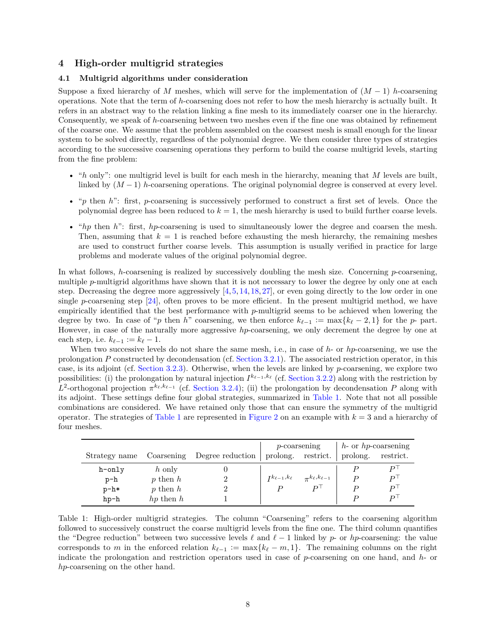# **4 High-order multigrid strategies**

#### **4.1 Multigrid algorithms under consideration**

Suppose a fixed hierarchy of *M* meshes, which will serve for the implementation of  $(M-1)$  *h*-coarsening operations. Note that the term of *h*-coarsening does not refer to how the mesh hierarchy is actually built. It refers in an abstract way to the relation linking a fine mesh to its immediately coarser one in the hierarchy. Consequently, we speak of *h*-coarsening between two meshes even if the fine one was obtained by refinement of the coarse one. We assume that the problem assembled on the coarsest mesh is small enough for the linear system to be solved directly, regardless of the polynomial degree. We then consider three types of strategies according to the successive coarsening operations they perform to build the coarse multigrid levels, starting from the fine problem:

- "*h* only": one multigrid level is built for each mesh in the hierarchy, meaning that *M* levels are built, linked by (*M* − 1) *h*-coarsening operations. The original polynomial degree is conserved at every level.
- "*p* then *h*": first, *p*-coarsening is successively performed to construct a first set of levels. Once the polynomial degree has been reduced to  $k = 1$ , the mesh hierarchy is used to build further coarse levels.
- "*hp* then *h*": first, *hp*-coarsening is used to simultaneously lower the degree and coarsen the mesh. Then, assuming that  $k = 1$  is reached before exhausting the mesh hierarchy, the remaining meshes are used to construct further coarse levels. This assumption is usually verified in practice for large problems and moderate values of the original polynomial degree.

In what follows, *h*-coarsening is realized by successively doubling the mesh size. Concerning *p*-coarsening, multiple *p*-multigrid algorithms have shown that it is not necessary to lower the degree by only one at each step. Decreasing the degree more aggressively  $[4, 5, 14, 18, 27]$ , or even going directly to the low order in one single *p*-coarsening step  $[24]$ , often proves to be more efficient. In the present multigrid method, we have empirically identified that the best performance with *p*-multigrid seems to be achieved when lowering the degree by two. In case of "*p* then *h*" coarsening, we then enforce  $k_{\ell-1} := \max\{k_{\ell} - 2, 1\}$  for the *p*- part. However, in case of the naturally more aggressive *hp*-coarsening, we only decrement the degree by one at each step, i.e.  $k_{\ell-1} := k_{\ell} - 1$ .

When two successive levels do not share the same mesh, i.e., in case of *h*- or *hp*-coarsening, we use the prolongation *P* constructed by decondensation (cf. Section 3.2.1). The associated restriction operator, in this case, is its adjoint (cf. Section 3.2.3). Otherwise, when the levels are linked by *p*-coarsening, we explore two possibilities: (i) the prolongation by natural injection  $I^{k_{\ell-1},k_{\ell}}$  (cf. Section 3.2.2) along with the restriction by  $L^2$ -orthogonal projection  $\pi^{k_\ell, k_{\ell-1}}$  (cf. Section 3.2.4); (ii) the prolongation by decondensation *P* along with its adjoint. These settings define four global strategies, summarized in Table 1. Note that not all possible combinations are considered. We have retained only those that can ensure the symmetry of the multigrid operator. The strategies of Table 1 are represented in Figure 2 on an example with  $k = 3$  and a hierarchy of four meshes.

|               |               |                  |                           | $p$ -coarsening             | $h$ - or $hp$ -coarsening |           |
|---------------|---------------|------------------|---------------------------|-----------------------------|---------------------------|-----------|
| Strategy name | Coarsening    | Degree reduction |                           | prolong. restrict.          | prolong.                  | restrict. |
| h-only        | h only        |                  |                           |                             |                           |           |
| $p-h$         | $p$ then $h$  |                  | $I^{k_{\ell-1},k_{\ell}}$ | $\pi^{k_{\ell},k_{\ell-1}}$ |                           | D١        |
| $p-h*$        | p then $h$    |                  | D                         | $D^{\dagger}$               |                           | D١        |
| $hp-h$        | $hp$ then $h$ |                  |                           |                             |                           |           |

Table 1: High-order multigrid strategies. The column "Coarsening" refers to the coarsening algorithm followed to successively construct the coarse multigrid levels from the fine one. The third column quantifies the "Degree reduction" between two successive levels  $\ell$  and  $\ell - 1$  linked by *p*- or *hp*-coarsening: the value corresponds to *m* in the enforced relation  $k_{\ell-1} := \max\{k_{\ell} - m, 1\}$ . The remaining columns on the right indicate the prolongation and restriction operators used in case of *p*-coarsening on one hand, and *h*- or *hp*-coarsening on the other hand.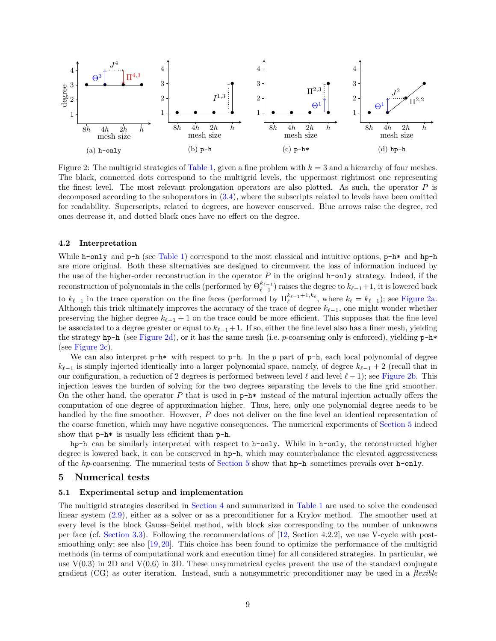

Figure 2: The multigrid strategies of Table 1, given a fine problem with  $k = 3$  and a hierarchy of four meshes. The black, connected dots correspond to the multigrid levels, the uppermost rightmost one representing the finest level. The most relevant prolongation operators are also plotted. As such, the operator *P* is decomposed according to the suboperators in (3.4), where the subscripts related to levels have been omitted for readability. Superscripts, related to degrees, are however conserved. Blue arrows raise the degree, red ones decrease it, and dotted black ones have no effect on the degree.

#### **4.2 Interpretation**

While h-only and  $p-h$  (see Table 1) correspond to the most classical and intuitive options,  $p-h*$  and hp-h are more original. Both these alternatives are designed to circumvent the loss of information induced by the use of the higher-order reconstruction in the operator *P* in the original h-only strategy. Indeed, if the reconstruction of polynomials in the cells (performed by  $\Theta_{\ell-1}^{k_{\ell-1}}$ ) raises the degree to  $k_{\ell-1}+1$ , it is lowered back to  $k_{\ell-1}$  in the trace operation on the fine faces (performed by  $\Pi_{\ell}^{k_{\ell-1}+1,k_{\ell}}$ , where  $k_{\ell} = k_{\ell-1}$ ); see Figure 2a. Although this trick ultimately improves the accuracy of the trace of degree  $k_{\ell-1}$ , one might wonder whether preserving the higher degree  $k_{\ell-1}$  + 1 on the trace could be more efficient. This supposes that the fine level be associated to a degree greater or equal to  $k_{\ell-1}+1$ . If so, either the fine level also has a finer mesh, yielding the strategy hp-h (see Figure 2d), or it has the same mesh (i.e. *p*-coarsening only is enforced), yielding p-h\* (see Figure 2c).

We can also interpret  $p-h*$  with respect to  $p-h$ . In the p part of  $p-h$ , each local polynomial of degree  $k_{\ell-1}$  is simply injected identically into a larger polynomial space, namely, of degree  $k_{\ell-1}$  + 2 (recall that in our configuration, a reduction of 2 degrees is performed between level  $\ell$  and level  $\ell - 1$ ); see Figure 2b. This injection leaves the burden of solving for the two degrees separating the levels to the fine grid smoother. On the other hand, the operator  $P$  that is used in  $p-h*$  instead of the natural injection actually offers the computation of one degree of approximation higher. Thus, here, only one polynomial degree needs to be handled by the fine smoother. However, P does not deliver on the fine level an identical representation of the coarse function, which may have negative consequences. The numerical experiments of Section 5 indeed show that  $p-h*$  is usually less efficient than  $p-h$ .

hp-h can be similarly interpreted with respect to h-only. While in h-only, the reconstructed higher degree is lowered back, it can be conserved in  $hp-h$ , which may counterbalance the elevated aggressiveness of the *hp*-coarsening. The numerical tests of Section 5 show that hp-h sometimes prevails over h-only.

## **5 Numerical tests**

# **5.1 Experimental setup and implementation**

The multigrid strategies described in Section 4 and summarized in Table 1 are used to solve the condensed linear system (2.9), either as a solver or as a preconditioner for a Krylov method. The smoother used at every level is the block Gauss–Seidel method, with block size corresponding to the number of unknowns per face (cf. Section 3.3). Following the recommendations of [12, Section 4.2.2], we use V-cycle with postsmoothing only; see also [19, 20]. This choice has been found to optimize the performance of the multigrid methods (in terms of computational work and execution time) for all considered strategies. In particular, we use  $V(0,3)$  in 2D and  $V(0,6)$  in 3D. These unsymmetrical cycles prevent the use of the standard conjugate gradient (CG) as outer iteration. Instead, such a nonsymmetric preconditioner may be used in a *flexible*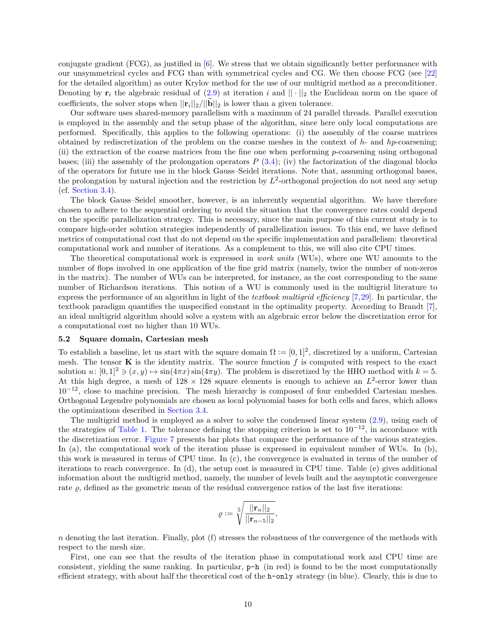conjugate gradient (FCG), as justified in [6]. We stress that we obtain significantly better performance with our unsymmetrical cycles and FCG than with symmetrical cycles and CG. We then choose FCG (see [22] for the detailed algorithm) as outer Krylov method for the use of our multigrid method as a preconditioner. Denoting by  $\mathbf{r}_i$  the algebraic residual of (2.9) at iteration *i* and  $|| \cdot ||_2$  the Euclidean norm on the space of coefficients, the solver stops when  $||\mathbf{r}_i||_2/||\mathbf{b}||_2$  is lower than a given tolerance.

Our software uses shared-memory parallelism with a maximum of 24 parallel threads. Parallel execution is employed in the assembly and the setup phase of the algorithm, since here only local computations are performed. Specifically, this applies to the following operations: (i) the assembly of the coarse matrices obtained by rediscretization of the problem on the coarse meshes in the context of *h*- and *hp*-coarsening; (ii) the extraction of the coarse matrices from the fine one when performing *p*-coarsening using orthogonal bases; (iii) the assembly of the prolongation operators  $P(3.4)$ ; (iv) the factorization of the diagonal blocks of the operators for future use in the block Gauss–Seidel iterations. Note that, assuming orthogonal bases, the prolongation by natural injection and the restriction by  $L^2$ -orthogonal projection do not need any setup (cf. Section 3.4).

The block Gauss–Seidel smoother, however, is an inherently sequential algorithm. We have therefore chosen to adhere to the sequential ordering to avoid the situation that the convergence rates could depend on the specific parallelization strategy. This is necessary, since the main purpose of this current study is to compare high-order solution strategies independently of parallelization issues. To this end, we have defined metrics of computational cost that do not depend on the specific implementation and parallelism: theoretical computational work and number of iterations. As a complement to this, we will also cite CPU times.

The theoretical computational work is expressed in *work units* (WUs), where one WU amounts to the number of flops involved in one application of the fine grid matrix (namely, twice the number of non-zeros in the matrix). The number of WUs can be interpreted, for instance, as the cost corresponding to the same number of Richardson iterations. This notion of a WU is commonly used in the multigrid literature to express the performance of an algorithm in light of the *textbook multigrid efficiency* [7,29]. In particular, the textbook paradigm quantifies the unspecified constant in the optimality property. According to Brandt [7], an ideal multigrid algorithm should solve a system with an algebraic error below the discretization error for a computational cost no higher than 10 WUs.

#### **5.2 Square domain, Cartesian mesh**

To establish a baseline, let us start with the square domain  $\Omega := [0,1]^2$ , discretized by a uniform, Cartesian mesh. The tensor  $\bf{K}$  is the identity matrix. The source function  $f$  is computed with respect to the exact solution  $u: [0,1]^2 \ni (x,y) \mapsto \sin(4\pi x) \sin(4\pi y)$ . The problem is discretized by the HHO method with  $k = 5$ . At this high degree, a mesh of  $128 \times 128$  square elements is enough to achieve an  $L^2$ -error lower than  $10^{-12}$ , close to machine precision. The mesh hierarchy is composed of four embedded Cartesian meshes. Orthogonal Legendre polynomials are chosen as local polynomial bases for both cells and faces, which allows the optimizations described in Section 3.4.

The multigrid method is employed as a solver to solve the condensed linear system (2.9), using each of the strategies of Table 1. The tolerance defining the stopping criterion is set to  $10^{-12}$ , in accordance with the discretization error. Figure 7 presents bar plots that compare the performance of the various strategies. In (a), the computational work of the iteration phase is expressed in equivalent number of WUs. In (b), this work is measured in terms of CPU time. In (c), the convergence is evaluated in terms of the number of iterations to reach convergence. In (d), the setup cost is measured in CPU time. Table (e) gives additional information about the multigrid method, namely, the number of levels built and the asymptotic convergence rate  $\varrho$ , defined as the geometric mean of the residual convergence ratios of the last five iterations:

$$
\varrho \mathrel{\mathop:}= \sqrt[5]{\frac{||\mathbf{r}_n||_2}{||\mathbf{r}_{n-5}||_2}},
$$

*n* denoting the last iteration. Finally, plot (f) stresses the robustness of the convergence of the methods with respect to the mesh size.

First, one can see that the results of the iteration phase in computational work and CPU time are consistent, yielding the same ranking. In particular,  $p-h$  (in red) is found to be the most computationally efficient strategy, with about half the theoretical cost of the h-only strategy (in blue). Clearly, this is due to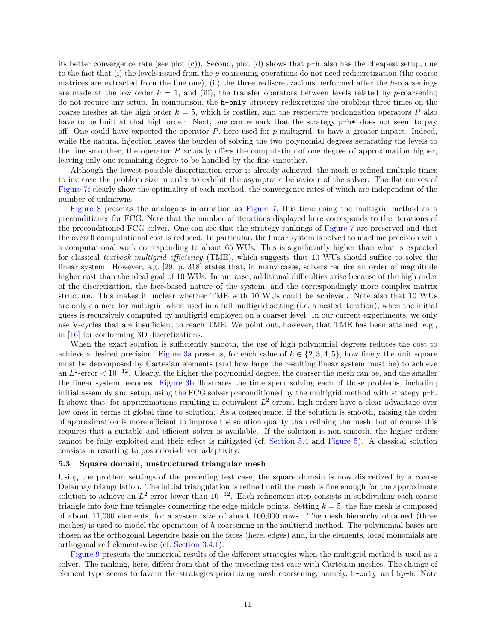its better convergence rate (see plot  $(c)$ ). Second, plot  $(d)$  shows that  $p-h$  also has the cheapest setup, due to the fact that (i) the levels issued from the *p*-coarsening operations do not need rediscretization (the coarse matrices are extracted from the fine one), (ii) the three rediscretizations performed after the *h*-coarsenings are made at the low order  $k = 1$ , and (iii), the transfer operators between levels related by *p*-coarsening do not require any setup. In comparison, the h-only strategy rediscretizes the problem three times on the coarse meshes at the high order  $k = 5$ , which is costlier, and the respective prolongation operators P also have to be built at that high order. Next, one can remark that the strategy  $p-h*$  does not seem to pay off. One could have expected the operator *P*, here used for *p*-multigrid, to have a greater impact. Indeed, while the natural injection leaves the burden of solving the two polynomial degrees separating the levels to the fine smoother, the operator *P* actually offers the computation of one degree of approximation higher, leaving only one remaining degree to be handled by the fine smoother.

Although the lowest possible discretization error is already achieved, the mesh is refined multiple times to increase the problem size in order to exhibit the asymptotic behaviour of the solver. The flat curves of Figure 7f clearly show the optimality of each method, the convergence rates of which are independent of the number of unknowns.

Figure 8 presents the analogous information as Figure 7, this time using the multigrid method as a preconditioner for FCG. Note that the number of iterations displayed here corresponds to the iterations of the preconditioned FCG solver. One can see that the strategy rankings of Figure 7 are preserved and that the overall computational cost is reduced. In particular, the linear system is solved to machine precision with a computational work corresponding to about 65 WUs. This is significantly higher than what is expected for classical *textbook multigrid efficiency* (TME), which suggests that 10 WUs should suffice to solve the linear system. However, e.g. [29, p. 318] states that, in many cases, solvers require an order of magnitude higher cost than the ideal goal of 10 WUs. In our case, additional difficulties arise because of the high order of the discretization, the face-based nature of the system, and the correspondingly more complex matrix structure. This makes it unclear whether TME with 10 WUs could be achieved. Note also that 10 WUs are only claimed for multigrid when used in a full multigrid setting (i.e. a nested iteration), when the initial guess is recursively computed by multigrid employed on a coarser level. In our current experiments, we only use V-cycles that are insufficient to reach TME. We point out, however, that TME has been attained, e.g., in [16] for conforming 3D discretizations.

When the exact solution is sufficiently smooth, the use of high polynomial degrees reduces the cost to achieve a desired precision. Figure 3a presents, for each value of  $k \in \{2, 3, 4, 5\}$ , how finely the unit square must be decomposed by Cartesian elements (and how large the resulting linear system must be) to achieve an  $L^2$ -error  $< 10^{-12}$ . Clearly, the higher the polynomial degree, the coarser the mesh can be, and the smaller the linear system becomes. Figure 3b illustrates the time spent solving each of those problems, including initial assembly and setup, using the FCG solver preconditioned by the multigrid method with strategy p-h. It shows that, for approximations resulting in equivalent  $L^2$ -errors, high orders have a clear advantage over low ones in terms of global time to solution. As a consequence, if the solution is smooth, raising the order of approximation is more efficient to improve the solution quality than refining the mesh, but of course this requires that a suitable and efficient solver is available. If the solution is non-smooth, the higher orders cannot be fully exploited and their effect is mitigated (cf. Section 5.4 and Figure 5). A classical solution consists in resorting to posteriori-driven adaptivity.

#### **5.3 Square domain, unstructured triangular mesh**

Using the problem settings of the preceding test case, the square domain is now discretized by a coarse Delaunay triangulation. The initial triangulation is refined until the mesh is fine enough for the approximate solution to achieve an  $L^2$ -error lower than  $10^{-12}$ . Each refinement step consists in subdividing each coarse triangle into four fine triangles connecting the edge middle points. Setting  $k = 5$ , the fine mesh is composed of about 11*,*000 elements, for a system size of about 100*,*000 rows. The mesh hierarchy obtained (three meshes) is used to model the operations of *h*-coarsening in the multigrid method. The polynomial bases are chosen as the orthogonal Legendre basis on the faces (here, edges) and, in the elements, local monomials are orthogonalized element-wise (cf. Section 3.4.1).

Figure 9 presents the numerical results of the different strategies when the multigrid method is used as a solver. The ranking, here, differs from that of the preceding test case with Cartesian meshes, The change of element type seems to favour the strategies prioritizing mesh coarsening, namely, h-only and hp-h. Note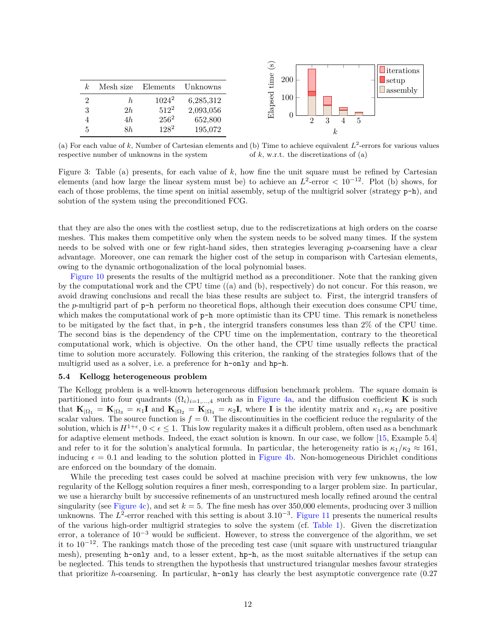| k <sub>i</sub> | Mesh size | Elements | Unknowns  |
|----------------|-----------|----------|-----------|
| 2              | h.        | $1024^2$ | 6,285,312 |
| 3              | 2h        | $512^2$  | 2,093,056 |
| 4              | 4h        | $256^2$  | 652,800   |
| 5              | 8h        | $128^2$  | 195,072   |



(a) For each value of  $k$ , Number of Cartesian elements and (b) Time to achieve equivalent  $L^2$ -errors for various values respective number of unknowns in the system of *k*, w.r.t. the discretizations of (a)

Figure 3: Table (a) presents, for each value of *k*, how fine the unit square must be refined by Cartesian elements (and how large the linear system must be) to achieve an  $L^2$ -error  $\lt 10^{-12}$ . Plot (b) shows, for each of those problems, the time spent on initial assembly, setup of the multigrid solver (strategy p-h), and solution of the system using the preconditioned FCG.

that they are also the ones with the costliest setup, due to the rediscretizations at high orders on the coarse meshes. This makes them competitive only when the system needs to be solved many times. If the system needs to be solved with one or few right-hand sides, then strategies leveraging *p*-coarsening have a clear advantage. Moreover, one can remark the higher cost of the setup in comparison with Cartesian elements, owing to the dynamic orthogonalization of the local polynomial bases.

Figure 10 presents the results of the multigrid method as a preconditioner. Note that the ranking given by the computational work and the CPU time ((a) and (b), respectively) do not concur. For this reason, we avoid drawing conclusions and recall the bias these results are subject to. First, the intergrid transfers of the *p*-multigrid part of p-h perform no theoretical flops, although their execution does consume CPU time, which makes the computational work of  $p-h$  more optimistic than its CPU time. This remark is nonetheless to be mitigated by the fact that, in p-h , the intergrid transfers consumes less than 2% of the CPU time. The second bias is the dependency of the CPU time on the implementation, contrary to the theoretical computational work, which is objective. On the other hand, the CPU time usually reflects the practical time to solution more accurately. Following this criterion, the ranking of the strategies follows that of the multigrid used as a solver, i.e. a preference for h-only and hp-h.

#### **5.4 Kellogg heterogeneous problem**

The Kellogg problem is a well-known heterogeneous diffusion benchmark problem. The square domain is partitioned into four quadrants  $(\Omega_i)_{i=1,\dots,4}$  such as in Figure 4a, and the diffusion coefficient **K** is such that  $\mathbf{K}_{|\Omega_1} = \mathbf{K}_{|\Omega_3} = \kappa_1 \mathbf{I}$  and  $\mathbf{K}_{|\Omega_2} = \mathbf{K}_{|\Omega_4} = \kappa_2 \mathbf{I}$ , where **I** is the identity matrix and  $\kappa_1, \kappa_2$  are positive scalar values. The source function is  $f = 0$ . The discontinuities in the coefficient reduce the regularity of the solution, which is  $H^{1+\epsilon}$ ,  $0 < \epsilon \leq 1$ . This low regularity makes it a difficult problem, often used as a benchmark for adaptive element methods. Indeed, the exact solution is known. In our case, we follow [15, Example 5.4] and refer to it for the solution's analytical formula. In particular, the heterogeneity ratio is  $\kappa_1/\kappa_2 \approx 161$ . inducing  $\epsilon = 0.1$  and leading to the solution plotted in Figure 4b. Non-homogeneous Dirichlet conditions are enforced on the boundary of the domain.

While the preceding test cases could be solved at machine precision with very few unknowns, the low regularity of the Kellogg solution requires a finer mesh, corresponding to a larger problem size. In particular, we use a hierarchy built by successive refinements of an unstructured mesh locally refined around the central singularity (see Figure 4c), and set  $k = 5$ . The fine mesh has over 350,000 elements, producing over 3 million unknowns. The *L*<sup>2</sup>-error reached with this setting is about 3.10<sup>-3</sup>. Figure 11 presents the numerical results of the various high-order multigrid strategies to solve the system (cf. Table 1). Given the discretization error, a tolerance of 10<sup>−</sup><sup>3</sup> would be sufficient. However, to stress the convergence of the algorithm, we set it to  $10^{-12}$ . The rankings match those of the preceding test case (unit square with unstructured triangular mesh), presenting h-only and, to a lesser extent, hp-h, as the most suitable alternatives if the setup can be neglected. This tends to strengthen the hypothesis that unstructured triangular meshes favour strategies that prioritize *h*-coarsening. In particular, h-only has clearly the best asymptotic convergence rate (0.27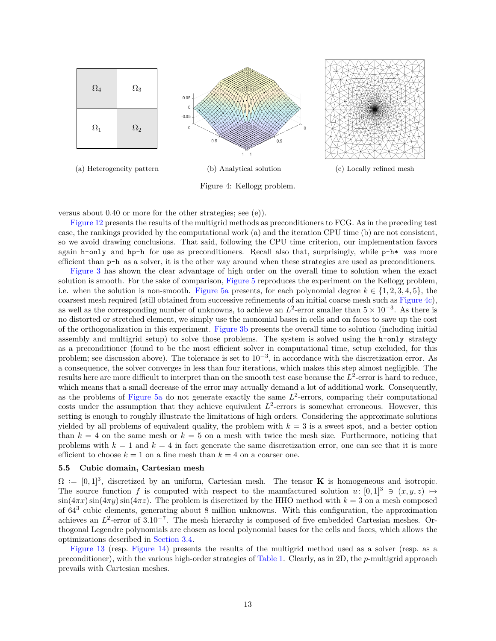

Figure 4: Kellogg problem.

versus about 0.40 or more for the other strategies; see (e)).

Figure 12 presents the results of the multigrid methods as preconditioners to FCG. As in the preceding test case, the rankings provided by the computational work (a) and the iteration CPU time (b) are not consistent, so we avoid drawing conclusions. That said, following the CPU time criterion, our implementation favors again h-only and hp-h for use as preconditioners. Recall also that, surprisingly, while  $p-h*$  was more efficient than p-h as a solver, it is the other way around when these strategies are used as preconditioners.

Figure 3 has shown the clear advantage of high order on the overall time to solution when the exact solution is smooth. For the sake of comparison, Figure 5 reproduces the experiment on the Kellogg problem, i.e. when the solution is non-smooth. Figure 5a presents, for each polynomial degree  $k \in \{1, 2, 3, 4, 5\}$ , the coarsest mesh required (still obtained from successive refinements of an initial coarse mesh such as Figure 4c), as well as the corresponding number of unknowns, to achieve an  $L^2$ -error smaller than  $5 \times 10^{-3}$ . As there is no distorted or stretched element, we simply use the monomial bases in cells and on faces to save up the cost of the orthogonalization in this experiment. Figure 3b presents the overall time to solution (including initial assembly and multigrid setup) to solve those problems. The system is solved using the h-only strategy as a preconditioner (found to be the most efficient solver in computational time, setup excluded, for this problem; see discussion above). The tolerance is set to  $10^{-3}$ , in accordance with the discretization error. As a consequence, the solver converges in less than four iterations, which makes this step almost negligible. The results here are more difficult to interpret than on the smooth test case because the  $L^2$ -error is hard to reduce, which means that a small decrease of the error may actually demand a lot of additional work. Consequently, as the problems of Figure 5a do not generate exactly the same  $L^2$ -errors, comparing their computational costs under the assumption that they achieve equivalent  $L^2$ -errors is somewhat erroneous. However, this setting is enough to roughly illustrate the limitations of high orders. Considering the approximate solutions yielded by all problems of equivalent quality, the problem with  $k = 3$  is a sweet spot, and a better option than  $k = 4$  on the same mesh or  $k = 5$  on a mesh with twice the mesh size. Furthermore, noticing that problems with  $k = 1$  and  $k = 4$  in fact generate the same discretization error, one can see that it is more efficient to choose  $k = 1$  on a fine mesh than  $k = 4$  on a coarser one.

# **5.5 Cubic domain, Cartesian mesh**

 $\Omega := [0, 1]^3$ , discretized by an uniform, Cartesian mesh. The tensor **K** is homogeneous and isotropic. The source function *f* is computed with respect to the manufactured solution  $u: [0,1]^3 \ni (x, y, z) \mapsto$  $\sin(4\pi x)\sin(4\pi y)\sin(4\pi z)$ . The problem is discretized by the HHO method with  $k=3$  on a mesh composed of 64<sup>3</sup> cubic elements, generating about 8 million unknowns. With this configuration, the approximation achieves an  $L^2$ -error of  $3.10^{-7}$ . The mesh hierarchy is composed of five embedded Cartesian meshes. Orthogonal Legendre polynomials are chosen as local polynomial bases for the cells and faces, which allows the optimizations described in Section 3.4.

Figure 13 (resp. Figure 14) presents the results of the multigrid method used as a solver (resp. as a preconditioner), with the various high-order strategies of Table 1. Clearly, as in 2D, the *p*-multigrid approach prevails with Cartesian meshes.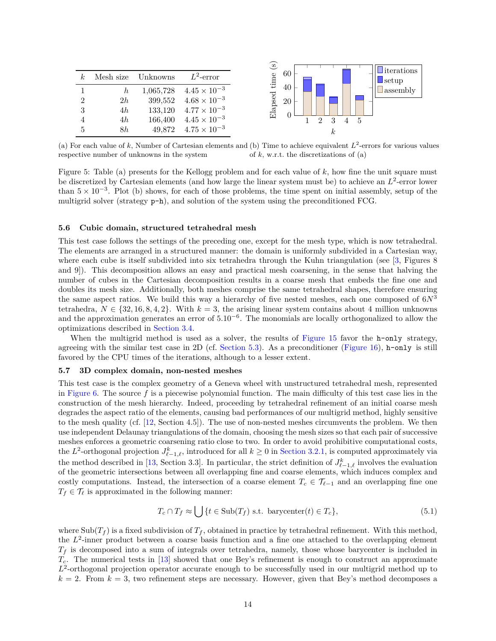| $k_{\cdot}$    |    | Mesh size Unknowns | $L^2$ -error          |
|----------------|----|--------------------|-----------------------|
|                | h  | 1,065,728          | $4.45 \times 10^{-3}$ |
| $\overline{2}$ | 2h | 399,552            | $4.68 \times 10^{-3}$ |
| 3              | 4h | 133,120            | $4.77 \times 10^{-3}$ |
|                | 4h | 166,400            | $4.45 \times 10^{-3}$ |
| $\overline{5}$ | 8h | 49,872             | $4.75 \times 10^{-3}$ |



(a) For each value of  $k$ , Number of Cartesian elements and (b) Time to achieve equivalent  $L^2$ -errors for various values respective number of unknowns in the system of *k*, w.r.t. the discretizations of (a)

Figure 5: Table (a) presents for the Kellogg problem and for each value of *k*, how fine the unit square must be discretized by Cartesian elements (and how large the linear system must be) to achieve an *L* 2 -error lower than  $5 \times 10^{-3}$ . Plot (b) shows, for each of those problems, the time spent on initial assembly, setup of the multigrid solver (strategy  $p-h$ ), and solution of the system using the preconditioned FCG.

#### **5.6 Cubic domain, structured tetrahedral mesh**

This test case follows the settings of the preceding one, except for the mesh type, which is now tetrahedral. The elements are arranged in a structured manner: the domain is uniformly subdivided in a Cartesian way, where each cube is itself subdivided into six tetrahedra through the Kuhn triangulation (see [3, Figures 8 and 9]). This decomposition allows an easy and practical mesh coarsening, in the sense that halving the number of cubes in the Cartesian decomposition results in a coarse mesh that embeds the fine one and doubles its mesh size. Additionally, both meshes comprise the same tetrahedral shapes, therefore ensuring the same aspect ratios. We build this way a hierarchy of five nested meshes, each one composed of 6*N*<sup>3</sup> tetrahedra,  $N \in \{32, 16, 8, 4, 2\}$ . With  $k = 3$ , the arising linear system contains about 4 million unknowns and the approximation generates an error of 5*.*10<sup>−</sup><sup>6</sup> . The monomials are locally orthogonalized to allow the optimizations described in Section 3.4.

When the multigrid method is used as a solver, the results of Figure 15 favor the h-only strategy, agreeing with the similar test case in 2D (cf. Section 5.3). As a preconditioner (Figure 16), h-only is still favored by the CPU times of the iterations, although to a lesser extent.

#### **5.7 3D complex domain, non-nested meshes**

This test case is the complex geometry of a Geneva wheel with unstructured tetrahedral mesh, represented in Figure 6. The source *f* is a piecewise polynomial function. The main difficulty of this test case lies in the construction of the mesh hierarchy. Indeed, proceeding by tetrahedral refinement of an initial coarse mesh degrades the aspect ratio of the elements, causing bad performances of our multigrid method, highly sensitive to the mesh quality (cf. [12, Section 4.5]). The use of non-nested meshes circumvents the problem. We then use independent Delaunay triangulations of the domain, choosing the mesh sizes so that each pair of successive meshes enforces a geometric coarsening ratio close to two. In order to avoid prohibitive computational costs, the  $L^2$ -orthogonal projection  $J^k_{\ell-1,\ell}$ , introduced for all  $k \geq 0$  in Section 3.2.1, is computed approximately via the method described in [13, Section 3.3]. In particular, the strict definition of  $J^k_{\ell-1,\ell}$  involves the evaluation of the geometric intersections between all overlapping fine and coarse elements, which induces complex and costly computations. Instead, the intersection of a coarse element  $T_c \in \mathcal{T}_{\ell-1}$  and an overlapping fine one  $T_f \in \mathcal{T}_\ell$  is approximated in the following manner:

$$
T_c \cap T_f \approx \bigcup \{ t \in \text{Sub}(T_f) \text{ s.t. barycenter}(t) \in T_c \},\tag{5.1}
$$

where  $\text{Sub}(T_f)$  is a fixed subdivision of  $T_f$ , obtained in practice by tetrahedral refinement. With this method, the  $L^2$ -inner product between a coarse basis function and a fine one attached to the overlapping element  $T_f$  is decomposed into a sum of integrals over tetrahedra, namely, those whose barycenter is included in *Tc*. The numerical tests in [13] showed that one Bey's refinement is enough to construct an approximate L<sup>2</sup>-orthogonal projection operator accurate enough to be successfully used in our multigrid method up to  $k = 2$ . From  $k = 3$ , two refinement steps are necessary. However, given that Bey's method decomposes a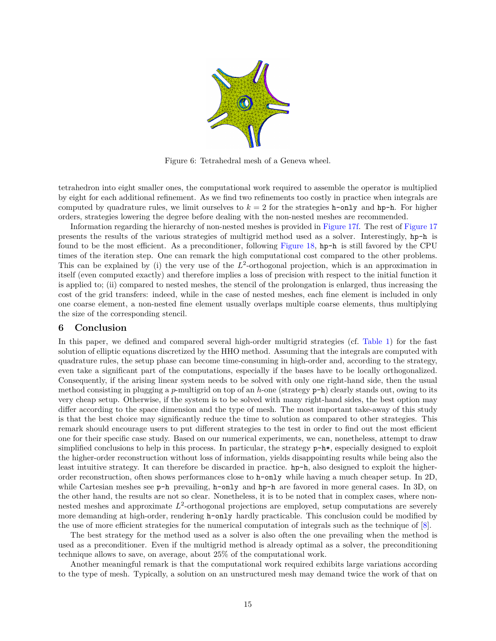

Figure 6: Tetrahedral mesh of a Geneva wheel.

tetrahedron into eight smaller ones, the computational work required to assemble the operator is multiplied by eight for each additional refinement. As we find two refinements too costly in practice when integrals are computed by quadrature rules, we limit ourselves to  $k = 2$  for the strategies h-only and hp-h. For higher orders, strategies lowering the degree before dealing with the non-nested meshes are recommended.

Information regarding the hierarchy of non-nested meshes is provided in Figure 17f. The rest of Figure 17 presents the results of the various strategies of multigrid method used as a solver. Interestingly, hp-h is found to be the most efficient. As a preconditioner, following Figure 18, hp-h is still favored by the CPU times of the iteration step. One can remark the high computational cost compared to the other problems. This can be explained by (i) the very use of the  $L^2$ -orthogonal projection, which is an approximation in itself (even computed exactly) and therefore implies a loss of precision with respect to the initial function it is applied to; (ii) compared to nested meshes, the stencil of the prolongation is enlarged, thus increasing the cost of the grid transfers: indeed, while in the case of nested meshes, each fine element is included in only one coarse element, a non-nested fine element usually overlaps multiple coarse elements, thus multiplying the size of the corresponding stencil.

# **6 Conclusion**

In this paper, we defined and compared several high-order multigrid strategies (cf. Table 1) for the fast solution of elliptic equations discretized by the HHO method. Assuming that the integrals are computed with quadrature rules, the setup phase can become time-consuming in high-order and, according to the strategy, even take a significant part of the computations, especially if the bases have to be locally orthogonalized. Consequently, if the arising linear system needs to be solved with only one right-hand side, then the usual method consisting in plugging a *p*-multigrid on top of an *h*-one (strategy p-h) clearly stands out, owing to its very cheap setup. Otherwise, if the system is to be solved with many right-hand sides, the best option may differ according to the space dimension and the type of mesh. The most important take-away of this study is that the best choice may significantly reduce the time to solution as compared to other strategies. This remark should encourage users to put different strategies to the test in order to find out the most efficient one for their specific case study. Based on our numerical experiments, we can, nonetheless, attempt to draw simplified conclusions to help in this process. In particular, the strategy p-h\*, especially designed to exploit the higher-order reconstruction without loss of information, yields disappointing results while being also the least intuitive strategy. It can therefore be discarded in practice. hp-h, also designed to exploit the higherorder reconstruction, often shows performances close to h-only while having a much cheaper setup. In 2D, while Cartesian meshes see p-h prevailing, h-only and hp-h are favored in more general cases. In 3D, on the other hand, the results are not so clear. Nonetheless, it is to be noted that in complex cases, where nonnested meshes and approximate  $L^2$ -orthogonal projections are employed, setup computations are severely more demanding at high-order, rendering h-only hardly practicable. This conclusion could be modified by the use of more efficient strategies for the numerical computation of integrals such as the technique of [8].

The best strategy for the method used as a solver is also often the one prevailing when the method is used as a preconditioner. Even if the multigrid method is already optimal as a solver, the preconditioning technique allows to save, on average, about 25% of the computational work.

Another meaningful remark is that the computational work required exhibits large variations according to the type of mesh. Typically, a solution on an unstructured mesh may demand twice the work of that on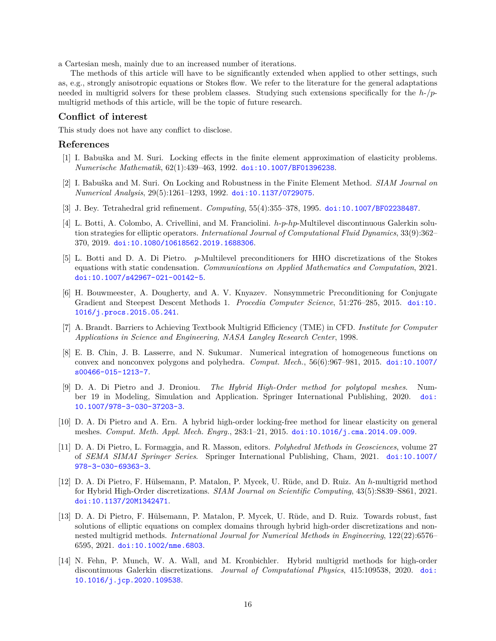a Cartesian mesh, mainly due to an increased number of iterations.

The methods of this article will have to be significantly extended when applied to other settings, such as, e.g., strongly anisotropic equations or Stokes flow. We refer to the literature for the general adaptations needed in multigrid solvers for these problem classes. Studying such extensions specifically for the *h*-/*p*multigrid methods of this article, will be the topic of future research.

# **Conflict of interest**

This study does not have any conflict to disclose.

# **References**

- [1] I. Babuška and M. Suri. Locking effects in the finite element approximation of elasticity problems. *Numerische Mathematik*, 62(1):439–463, 1992. [doi:10.1007/BF01396238](https://doi.org/10.1007/BF01396238).
- [2] I. Babuška and M. Suri. On Locking and Robustness in the Finite Element Method. *SIAM Journal on Numerical Analysis*, 29(5):1261–1293, 1992. [doi:10.1137/0729075](https://doi.org/10.1137/0729075).
- [3] J. Bey. Tetrahedral grid refinement. *Computing*, 55(4):355–378, 1995. [doi:10.1007/BF02238487](https://doi.org/10.1007/BF02238487).
- [4] L. Botti, A. Colombo, A. Crivellini, and M. Franciolini. *h*-*p*-*hp*-Multilevel discontinuous Galerkin solution strategies for elliptic operators. *International Journal of Computational Fluid Dynamics*, 33(9):362– 370, 2019. [doi:10.1080/10618562.2019.1688306](https://doi.org/10.1080/10618562.2019.1688306).
- [5] L. Botti and D. A. Di Pietro. *p*-Multilevel preconditioners for HHO discretizations of the Stokes equations with static condensation. *Communications on Applied Mathematics and Computation*, 2021. [doi:10.1007/s42967-021-00142-5](https://doi.org/10.1007/s42967-021-00142-5).
- [6] H. Bouwmeester, A. Dougherty, and A. V. Knyazev. Nonsymmetric Preconditioning for Conjugate Gradient and Steepest Descent Methods 1. *Procedia Computer Science*, 51:276–285, 2015. [doi:10.](https://doi.org/10.1016/j.procs.2015.05.241) [1016/j.procs.2015.05.241](https://doi.org/10.1016/j.procs.2015.05.241).
- [7] A. Brandt. Barriers to Achieving Textbook Multigrid Efficiency (TME) in CFD. *Institute for Computer Applications in Science and Engineering, NASA Langley Research Center*, 1998.
- [8] E. B. Chin, J. B. Lasserre, and N. Sukumar. Numerical integration of homogeneous functions on convex and nonconvex polygons and polyhedra. *Comput. Mech.*, 56(6):967–981, 2015. [doi:10.1007/](https://doi.org/10.1007/s00466-015-1213-7) [s00466-015-1213-7](https://doi.org/10.1007/s00466-015-1213-7).
- [9] D. A. Di Pietro and J. Droniou. *The Hybrid High-Order method for polytopal meshes*. Number 19 in Modeling, Simulation and Application. Springer International Publishing, 2020. [doi:](https://doi.org/10.1007/978-3-030-37203-3) [10.1007/978-3-030-37203-3](https://doi.org/10.1007/978-3-030-37203-3).
- [10] D. A. Di Pietro and A. Ern. A hybrid high-order locking-free method for linear elasticity on general meshes. *Comput. Meth. Appl. Mech. Engrg.*, 283:1–21, 2015. [doi:10.1016/j.cma.2014.09.009](https://doi.org/10.1016/j.cma.2014.09.009).
- [11] D. A. Di Pietro, L. Formaggia, and R. Masson, editors. *Polyhedral Methods in Geosciences*, volume 27 of *SEMA SIMAI Springer Series*. Springer International Publishing, Cham, 2021. [doi:10.1007/](https://doi.org/10.1007/978-3-030-69363-3) [978-3-030-69363-3](https://doi.org/10.1007/978-3-030-69363-3).
- [12] D. A. Di Pietro, F. Hülsemann, P. Matalon, P. Mycek, U. Rüde, and D. Ruiz. An *h*-multigrid method for Hybrid High-Order discretizations. *SIAM Journal on Scientific Computing*, 43(5):S839–S861, 2021. [doi:10.1137/20M1342471](https://doi.org/10.1137/20M1342471).
- [13] D. A. Di Pietro, F. Hülsemann, P. Matalon, P. Mycek, U. Rüde, and D. Ruiz. Towards robust, fast solutions of elliptic equations on complex domains through hybrid high-order discretizations and nonnested multigrid methods. *International Journal for Numerical Methods in Engineering*, 122(22):6576– 6595, 2021. [doi:10.1002/nme.6803](https://doi.org/10.1002/nme.6803).
- [14] N. Fehn, P. Munch, W. A. Wall, and M. Kronbichler. Hybrid multigrid methods for high-order discontinuous Galerkin discretizations. *Journal of Computational Physics*, 415:109538, 2020. [doi:](https://doi.org/10.1016/j.jcp.2020.109538) [10.1016/j.jcp.2020.109538](https://doi.org/10.1016/j.jcp.2020.109538).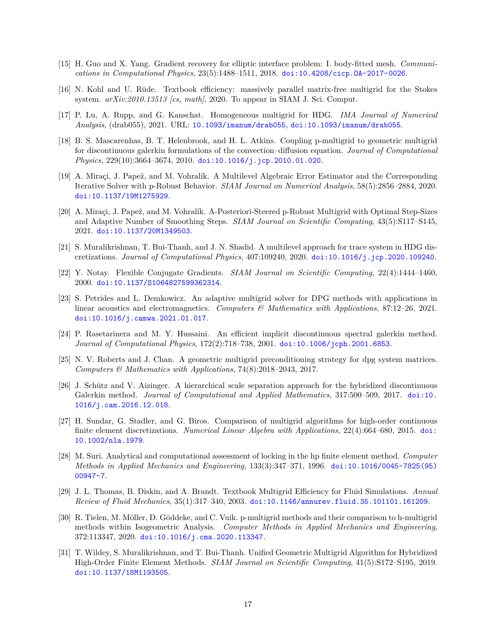- [15] H. Guo and X. Yang. Gradient recovery for elliptic interface problem: I. body-fitted mesh. *Communications in Computational Physics*, 23(5):1488–1511, 2018. [doi:10.4208/cicp.OA-2017-0026](https://doi.org/10.4208/cicp.OA-2017-0026).
- [16] N. Kohl and U. Rüde. Textbook efficiency: massively parallel matrix-free multigrid for the Stokes system. *arXiv:2010.13513 [cs, math]*, 2020. To appear in SIAM J. Sci. Comput.
- [17] P. Lu, A. Rupp, and G. Kanschat. Homogeneous multigrid for HDG. *IMA Journal of Numerical Analysis*, (drab055), 2021. URL: <10.1093/imanum/drab055>, [doi:10.1093/imanum/drab055](https://doi.org/10.1093/imanum/drab055).
- [18] B. S. Mascarenhas, B. T. Helenbrook, and H. L. Atkins. Coupling p-multigrid to geometric multigrid for discontinuous galerkin formulations of the convection–diffusion equation. *Journal of Computational Physics*, 229(10):3664–3674, 2010. [doi:10.1016/j.jcp.2010.01.020](https://doi.org/10.1016/j.jcp.2010.01.020).
- [19] A. Miraçi, J. Papež, and M. Vohralík. A Multilevel Algebraic Error Estimator and the Corresponding Iterative Solver with p-Robust Behavior. *SIAM Journal on Numerical Analysis*, 58(5):2856–2884, 2020. [doi:10.1137/19M1275929](https://doi.org/10.1137/19M1275929).
- [20] A. Miraçi, J. Papež, and M. Vohralík. A-Posteriori-Steered p-Robust Multigrid with Optimal Step-Sizes and Adaptive Number of Smoothing Steps. *SIAM Journal on Scientific Computing*, 43(5):S117–S145, 2021. [doi:10.1137/20M1349503](https://doi.org/10.1137/20M1349503).
- [21] S. Muralikrishnan, T. Bui-Thanh, and J. N. Shadid. A multilevel approach for trace system in HDG discretizations. *Journal of Computational Physics*, 407:109240, 2020. [doi:10.1016/j.jcp.2020.109240](https://doi.org/10.1016/j.jcp.2020.109240).
- [22] Y. Notay. Flexible Conjugate Gradients. *SIAM Journal on Scientific Computing*, 22(4):1444–1460, 2000. [doi:10.1137/S1064827599362314](https://doi.org/10.1137/S1064827599362314).
- [23] S. Petrides and L. Demkowicz. An adaptive multigrid solver for DPG methods with applications in linear acoustics and electromagnetics. *Computers & Mathematics with Applications*, 87:12–26, 2021. [doi:10.1016/j.camwa.2021.01.017](https://doi.org/10.1016/j.camwa.2021.01.017).
- [24] P. Rasetarinera and M. Y. Hussaini. An efficient implicit discontinuous spectral galerkin method. *Journal of Computational Physics*, 172(2):718–738, 2001. [doi:10.1006/jcph.2001.6853](https://doi.org/10.1006/jcph.2001.6853).
- [25] N. V. Roberts and J. Chan. A geometric multigrid preconditioning strategy for dpg system matrices. *Computers & Mathematics with Applications*, 74(8):2018–2043, 2017.
- [26] J. Schütz and V. Aizinger. A hierarchical scale separation approach for the hybridized discontinuous Galerkin method. *Journal of Computational and Applied Mathematics*, 317:500–509, 2017. [doi:10.](https://doi.org/10.1016/j.cam.2016.12.018) [1016/j.cam.2016.12.018](https://doi.org/10.1016/j.cam.2016.12.018).
- [27] H. Sundar, G. Stadler, and G. Biros. Comparison of multigrid algorithms for high-order continuous finite element discretizations. *Numerical Linear Algebra with Applications*, 22(4):664–680, 2015. [doi:](https://doi.org/10.1002/nla.1979) [10.1002/nla.1979](https://doi.org/10.1002/nla.1979).
- [28] M. Suri. Analytical and computational assessment of locking in the hp finite element method. *Computer Methods in Applied Mechanics and Engineering*, 133(3):347–371, 1996. [doi:10.1016/0045-7825\(95\)](https://doi.org/10.1016/0045-7825(95)00947-7) [00947-7](https://doi.org/10.1016/0045-7825(95)00947-7).
- [29] J. L. Thomas, B. Diskin, and A. Brandt. Textbook Multigrid Efficiency for Fluid Simulations. *Annual Review of Fluid Mechanics*, 35(1):317–340, 2003. [doi:10.1146/annurev.fluid.35.101101.161209](https://doi.org/10.1146/annurev.fluid.35.101101.161209).
- [30] R. Tielen, M. Möller, D. Göddeke, and C. Vuik. p-multigrid methods and their comparison to h-multigrid methods within Isogeometric Analysis. *Computer Methods in Applied Mechanics and Engineering*, 372:113347, 2020. [doi:10.1016/j.cma.2020.113347](https://doi.org/10.1016/j.cma.2020.113347).
- [31] T. Wildey, S. Muralikrishnan, and T. Bui-Thanh. Unified Geometric Multigrid Algorithm for Hybridized High-Order Finite Element Methods. *SIAM Journal on Scientific Computing*, 41(5):S172–S195, 2019. [doi:10.1137/18M1193505](https://doi.org/10.1137/18M1193505).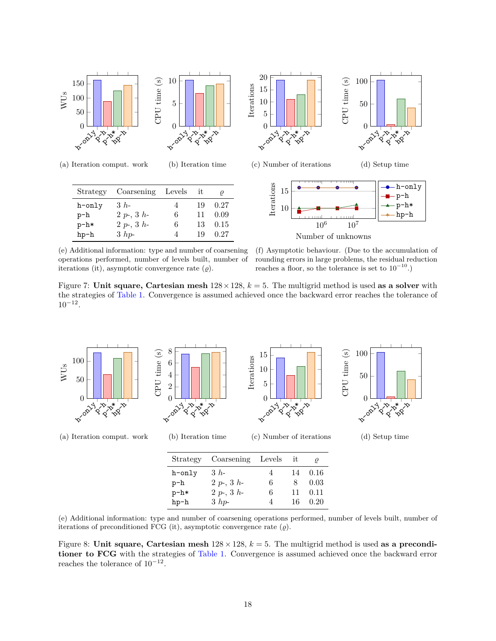

(a) Iteration comput. work (b) Iteration time

| Strategy | Coarsening Levels it |   |    |      |
|----------|----------------------|---|----|------|
| h-only   | $3h-$                | 4 | 19 | 0.27 |
| p-h      | $2 p-, 3 h-$         | 6 | 11 | 0.09 |
| $p-h*$   | $2 p-, 3 h-$         | 6 | 13 | 0.15 |
| hp-h     | $3$ hp-              | 4 | 19 | 0.27 |



(e) Additional information: type and number of coarsening operations performed, number of levels built, number of iterations (it), asymptotic convergence rate  $(\rho)$ .

(f) Asymptotic behaviour. (Due to the accumulation of rounding errors in large problems, the residual reduction reaches a floor, so the tolerance is set to  $10^{-10}$ .)

Figure 7: **Unit square, Cartesian mesh**  $128 \times 128$ ,  $k = 5$ . The multigrid method is used **as a solver** with the strategies of Table 1. Convergence is assumed achieved once the backward error reaches the tolerance of  $10^{-12}$ .



| Strategy | Coarsening Levels |   | it |         |
|----------|-------------------|---|----|---------|
| h-only   | $3h-$             |   |    | 14 0.16 |
| p-h      | $2 p-, 3 h-$      | 6 | 8  | 0.03    |
| $p-h*$   | $2 p-, 3 h-$      | 6 | 11 | 0.11    |
| hp-h     | $3$ hp-           |   | 16 | 0.20    |

(e) Additional information: type and number of coarsening operations performed, number of levels built, number of iterations of preconditioned FCG (it), asymptotic convergence rate  $(\varrho)$ .

Figure 8: Unit square, Cartesian mesh  $128 \times 128$ ,  $k = 5$ . The multigrid method is used as a precondi**tioner to FCG** with the strategies of Table 1. Convergence is assumed achieved once the backward error reaches the tolerance of  $10^{-12}$ .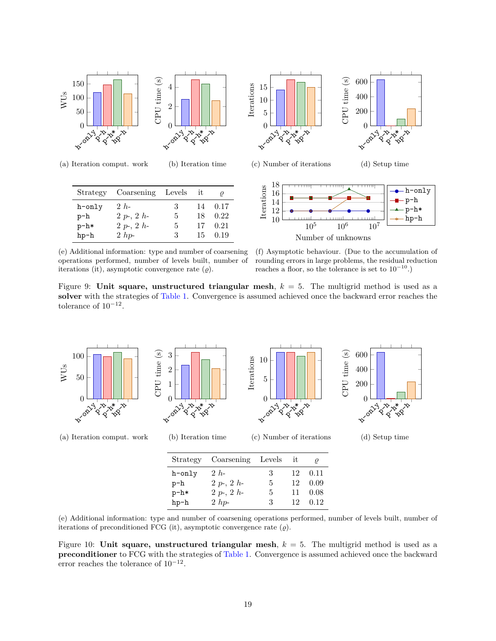

(a) Iteration comput. work (b) Iteration time

| Strategy | Coarsening Levels it |   |    |         |
|----------|----------------------|---|----|---------|
| h-only   | $2h-$                | 3 |    | 14 0.17 |
| $p-h$    | $2 p-, 2 h-$         | 5 | 18 | 0.22    |
| $p-h*$   | $2 p-, 2 h-$         | 5 | 17 | 0.21    |
| hp-h     | $2$ hp-              | 3 | 15 | 0.19    |

(e) Additional information: type and number of coarsening operations performed, number of levels built, number of iterations (it), asymptotic convergence rate  $(\rho)$ .



(f) Asymptotic behaviour. (Due to the accumulation of rounding errors in large problems, the residual reduction reaches a floor, so the tolerance is set to  $10^{-10}$ .)

Number of unknowns

Figure 9: **Unit square, unstructured triangular mesh**, *k* = 5. The multigrid method is used as a **solver** with the strategies of Table 1. Convergence is assumed achieved once the backward error reaches the tolerance of  $10^{-12}$ .



| Strategy | Coarsening Levels |   | - it | ρ    |
|----------|-------------------|---|------|------|
| h-only   | 2 h               | 3 | 12   | 0.11 |
| $p-h$    | $2 p-, 2 h-$      | 5 | 12   | 0.09 |
| $p-h*$   | $2 p-, 2 h-$      | 5 | 11   | 0.08 |
| $hp-h$   | $2$ hp-           | 3 | 12.  | 0.12 |

(e) Additional information: type and number of coarsening operations performed, number of levels built, number of iterations of preconditioned FCG (it), asymptotic convergence rate  $(\varrho)$ .

Figure 10: **Unit square, unstructured triangular mesh**, *k* = 5. The multigrid method is used as a **preconditioner** to FCG with the strategies of Table 1. Convergence is assumed achieved once the backward error reaches the tolerance of  $10^{-12}$ .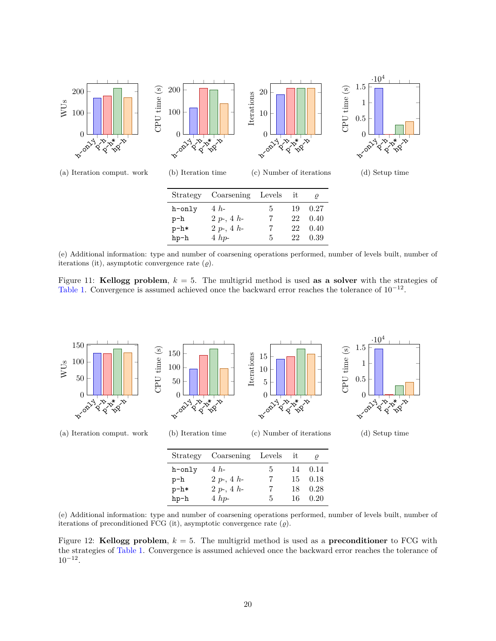

(e) Additional information: type and number of coarsening operations performed, number of levels built, number of iterations (it), asymptotic convergence rate  $(\varrho)$ .

Figure 11: **Kellogg problem**, *k* = 5. The multigrid method is used **as a solver** with the strategies of Table 1. Convergence is assumed achieved once the backward error reaches the tolerance of  $10^{-12}$ .



(e) Additional information: type and number of coarsening operations performed, number of levels built, number of iterations of preconditioned FCG (it), asymptotic convergence rate  $(\varrho)$ .

Figure 12: **Kellogg problem**, *k* = 5. The multigrid method is used as a **preconditioner** to FCG with the strategies of Table 1. Convergence is assumed achieved once the backward error reaches the tolerance of  $10^{-12}$ .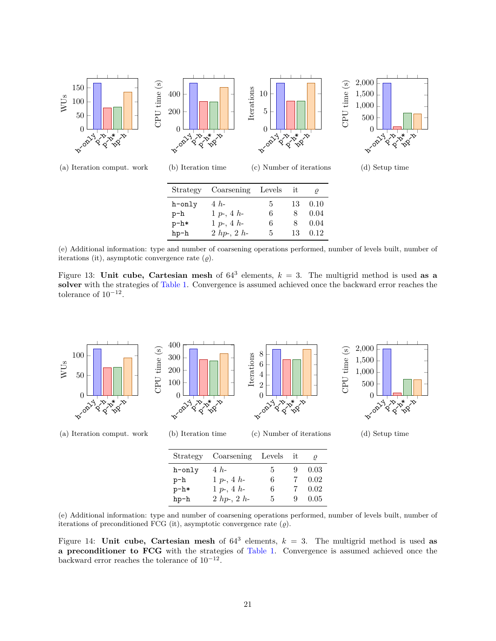

(e) Additional information: type and number of coarsening operations performed, number of levels built, number of iterations (it), asymptotic convergence rate  $(\varrho)$ .

Figure 13: Unit cube, Cartesian mesh of  $64^3$  elements,  $k = 3$ . The multigrid method is used as a **solver** with the strategies of Table 1. Convergence is assumed achieved once the backward error reaches the tolerance of  $10^{-12}$ .



|              |    |    | ρ                             |
|--------------|----|----|-------------------------------|
| $4h-$        | 5. | 9. | 0.03                          |
| $1 p-, 4 h-$ | 6  |    | 0.02                          |
| $1 p-, 4 h-$ | 6  |    | 0.02                          |
| $2hp-, 2h-$  | 5. | 9. | 0.05                          |
|              |    |    | Strategy Coarsening Levels it |

(e) Additional information: type and number of coarsening operations performed, number of levels built, number of iterations of preconditioned FCG (it), asymptotic convergence rate  $(\varrho)$ .

Figure 14: **Unit cube, Cartesian mesh** of  $64^3$  elements,  $k = 3$ . The multigrid method is used as **a preconditioner to FCG** with the strategies of Table 1. Convergence is assumed achieved once the backward error reaches the tolerance of  $10^{-12}$ .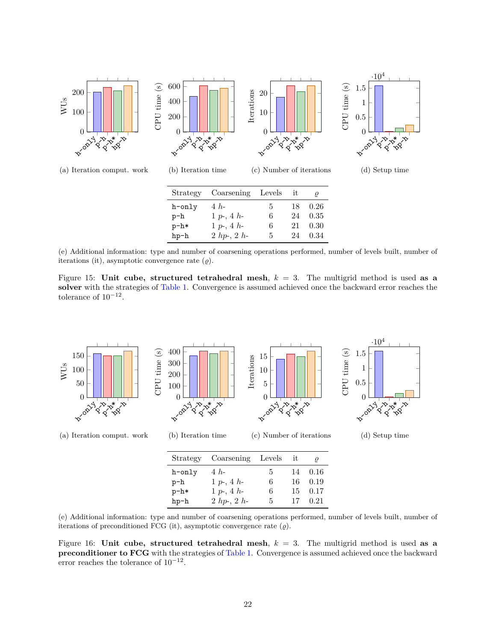

(e) Additional information: type and number of coarsening operations performed, number of levels built, number of iterations (it), asymptotic convergence rate  $(\varrho)$ .

Figure 15: **Unit cube, structured tetrahedral mesh**, *k* = 3. The multigrid method is used **as a solver** with the strategies of Table 1. Convergence is assumed achieved once the backward error reaches the tolerance of  $10^{-12}$ .



|        | Strategy Coarsening Levels |    | $\overline{\text{1}}$ |         |
|--------|----------------------------|----|-----------------------|---------|
| h-only | $4h-$                      | 5. |                       | 14 0.16 |
| p-h    | $1 p-, 4 h-$               | 6  | 16                    | 0.19    |
| $p-h*$ | $1 p-, 4 h-$               | 6  | 15                    | 0.17    |
| $hp-h$ | $2hp-2h-$                  | 5. | 17                    | 0.21    |

(e) Additional information: type and number of coarsening operations performed, number of levels built, number of iterations of preconditioned FCG (it), asymptotic convergence rate  $(\varrho)$ .

Figure 16: **Unit cube, structured tetrahedral mesh**, *k* = 3. The multigrid method is used **as a preconditioner to FCG** with the strategies of Table 1. Convergence is assumed achieved once the backward error reaches the tolerance of  $10^{-12}$ .